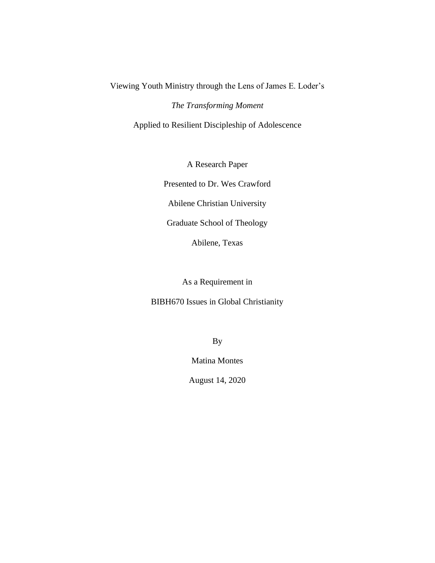Viewing Youth Ministry through the Lens of James E. Loder's

*The Transforming Moment*

Applied to Resilient Discipleship of Adolescence

A Research Paper

Presented to Dr. Wes Crawford

Abilene Christian University

Graduate School of Theology

Abilene, Texas

As a Requirement in

BIBH670 Issues in Global Christianity

By

Matina Montes

August 14, 2020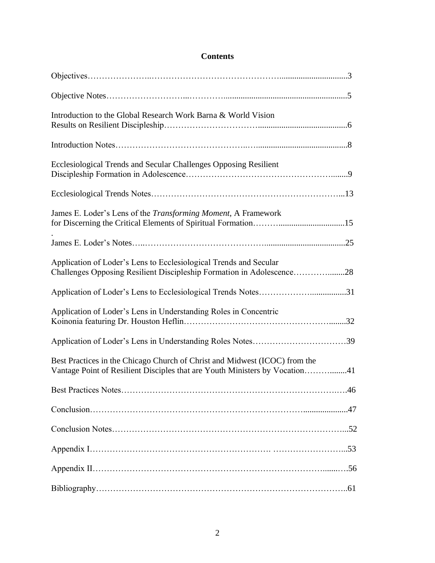| Introduction to the Global Research Work Barna & World Vision                                                                                             |
|-----------------------------------------------------------------------------------------------------------------------------------------------------------|
|                                                                                                                                                           |
| Ecclesiological Trends and Secular Challenges Opposing Resilient                                                                                          |
|                                                                                                                                                           |
| James E. Loder's Lens of the <i>Transforming Moment</i> , A Framework                                                                                     |
|                                                                                                                                                           |
| Application of Loder's Lens to Ecclesiological Trends and Secular<br>Challenges Opposing Resilient Discipleship Formation in Adolescence28                |
| Application of Loder's Lens to Ecclesiological Trends Notes31                                                                                             |
| Application of Loder's Lens in Understanding Roles in Concentric                                                                                          |
| Application of Loder's Lens in Understanding Roles Notes39                                                                                                |
| Best Practices in the Chicago Church of Christ and Midwest (ICOC) from the<br>Vantage Point of Resilient Disciples that are Youth Ministers by Vocation41 |
|                                                                                                                                                           |
|                                                                                                                                                           |
|                                                                                                                                                           |
|                                                                                                                                                           |
|                                                                                                                                                           |
|                                                                                                                                                           |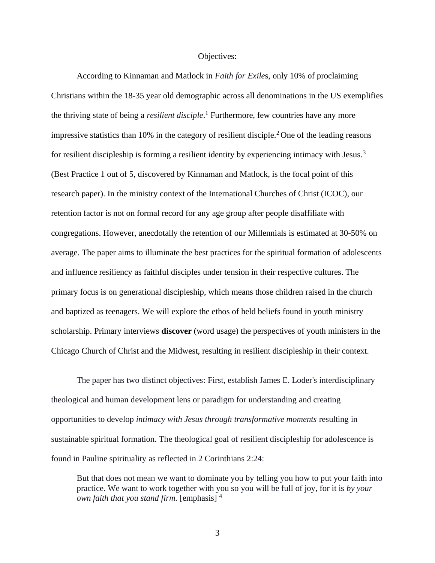#### Objectives:

According to Kinnaman and Matlock in *Faith for Exile*s, only 10% of proclaiming Christians within the 18-35 year old demographic across all denominations in the US exemplifies the thriving state of being a *resilient disciple*. <sup>1</sup> Furthermore, few countries have any more impressive statistics than 10% in the category of resilient disciple.<sup>2</sup> One of the leading reasons for resilient discipleship is forming a resilient identity by experiencing intimacy with Jesus.<sup>3</sup> (Best Practice 1 out of 5, discovered by Kinnaman and Matlock, is the focal point of this research paper). In the ministry context of the International Churches of Christ (ICOC), our retention factor is not on formal record for any age group after people disaffiliate with congregations. However, anecdotally the retention of our Millennials is estimated at 30-50% on average. The paper aims to illuminate the best practices for the spiritual formation of adolescents and influence resiliency as faithful disciples under tension in their respective cultures. The primary focus is on generational discipleship, which means those children raised in the church and baptized as teenagers. We will explore the ethos of held beliefs found in youth ministry scholarship. Primary interviews **discover** (word usage) the perspectives of youth ministers in the Chicago Church of Christ and the Midwest, resulting in resilient discipleship in their context.

The paper has two distinct objectives: First, establish James E. Loder's interdisciplinary theological and human development lens or paradigm for understanding and creating opportunities to develop *intimacy with Jesus through transformative moments* resulting in sustainable spiritual formation. The theological goal of resilient discipleship for adolescence is found in Pauline spirituality as reflected in 2 Corinthians 2:24:

But that does not mean we want to dominate you by telling you how to put your faith into practice. We want to work together with you so you will be full of joy, for it is *by your own faith that you stand firm.* [emphasis] <sup>4</sup>

3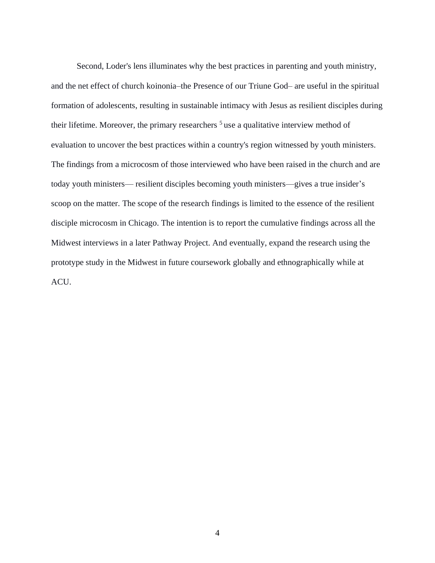Second, Loder's lens illuminates why the best practices in parenting and youth ministry, and the net effect of church koinonia–the Presence of our Triune God– are useful in the spiritual formation of adolescents, resulting in sustainable intimacy with Jesus as resilient disciples during their lifetime. Moreover, the primary researchers <sup>5</sup> use a qualitative interview method of evaluation to uncover the best practices within a country's region witnessed by youth ministers. The findings from a microcosm of those interviewed who have been raised in the church and are today youth ministers— resilient disciples becoming youth ministers—gives a true insider's scoop on the matter. The scope of the research findings is limited to the essence of the resilient disciple microcosm in Chicago. The intention is to report the cumulative findings across all the Midwest interviews in a later Pathway Project. And eventually, expand the research using the prototype study in the Midwest in future coursework globally and ethnographically while at ACU.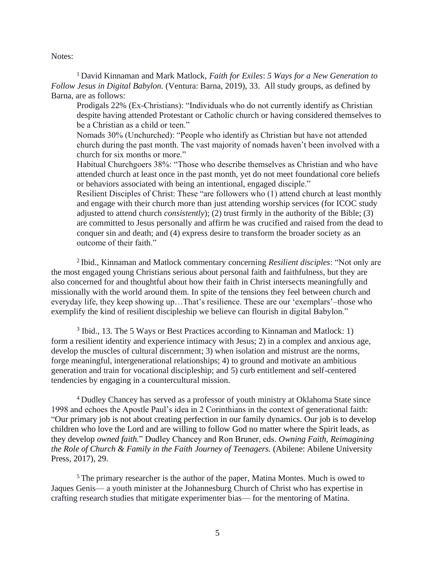Notes:

<sup>1</sup> David Kinnaman and Mark Matlock, *Faith for Exiles*: *5 Ways for a New Generation to Follow Jesus in Digital Babylon.* (Ventura: Barna, 2019), 33. All study groups, as defined by Barna, are as follows:

Prodigals 22% (Ex-Christians): "Individuals who do not currently identify as Christian despite having attended Protestant or Catholic church or having considered themselves to be a Christian as a child or teen."

Nomads 30% (Unchurched): "People who identify as Christian but have not attended church during the past month. The vast majority of nomads haven't been involved with a church for six months or more."

Habitual Churchgoers 38%: "Those who describe themselves as Christian and who have attended church at least once in the past month, yet do not meet foundational core beliefs or behaviors associated with being an intentional, engaged disciple."

Resilient Disciples of Christ: These "are followers who (1) attend church at least monthly and engage with their church more than just attending worship services (for ICOC study adjusted to attend church *consistently*); (2) trust firmly in the authority of the Bible; (3) are committed to Jesus personally and affirm he was crucified and raised from the dead to conquer sin and death; and (4) express desire to transform the broader society as an outcome of their faith."

2 Ibid., Kinnaman and Matlock commentary concerning *Resilient disciples*: "Not only are the most engaged young Christians serious about personal faith and faithfulness, but they are also concerned for and thoughtful about how their faith in Christ intersects meaningfully and missionally with the world around them. In spite of the tensions they feel between church and everyday life, they keep showing up…That's resilience. These are our 'exemplars'–those who exemplify the kind of resilient discipleship we believe can flourish in digital Babylon."

<sup>3</sup> Ibid., 13. The 5 Ways or Best Practices according to Kinnaman and Matlock: 1) form a resilient identity and experience intimacy with Jesus; 2) in a complex and anxious age, develop the muscles of cultural discernment; 3) when isolation and mistrust are the norms, forge meaningful, intergenerational relationships; 4) to ground and motivate an ambitious generation and train for vocational discipleship; and 5) curb entitlement and self-centered tendencies by engaging in a countercultural mission.

<sup>4</sup>Dudley Chancey has served as a professor of youth ministry at Oklahoma State since 1998 and echoes the Apostle Paul's idea in 2 Corinthians in the context of generational faith: "Our primary job is not about creating perfection in our family dynamics. Our job is to develop children who love the Lord and are willing to follow God no matter where the Spirit leads, as they develop *owned faith.*" Dudley Chancey and Ron Bruner, eds. *Owning Faith, Reimagining the Role of Church & Family in the Faith Journey of Teenagers.* (Abilene: Abilene University Press, 2017), 29.

<sup>5</sup>The primary researcher is the author of the paper, Matina Montes. Much is owed to Jaques Genis— a youth minister at the Johannesburg Church of Christ who has expertise in crafting research studies that mitigate experimenter bias— for the mentoring of Matina.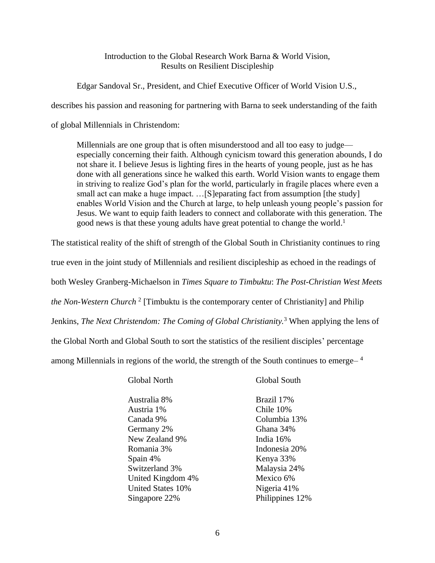#### Introduction to the Global Research Work Barna & World Vision, Results on Resilient Discipleship

Edgar Sandoval Sr., President, and Chief Executive Officer of World Vision U.S.,

describes his passion and reasoning for partnering with Barna to seek understanding of the faith

of global Millennials in Christendom:

Millennials are one group that is often misunderstood and all too easy to judge especially concerning their faith. Although cynicism toward this generation abounds, I do not share it. I believe Jesus is lighting fires in the hearts of young people, just as he has done with all generations since he walked this earth. World Vision wants to engage them in striving to realize God's plan for the world, particularly in fragile places where even a small act can make a huge impact. ... [S]eparating fact from assumption [the study] enables World Vision and the Church at large, to help unleash young people's passion for Jesus. We want to equip faith leaders to connect and collaborate with this generation. The good news is that these young adults have great potential to change the world.<sup>1</sup>

The statistical reality of the shift of strength of the Global South in Christianity continues to ring

true even in the joint study of Millennials and resilient discipleship as echoed in the readings of

both Wesley Granberg-Michaelson in *Times Square to Timbuktu*: *The Post-Christian West Meets* 

*the Non-Western Church* <sup>2</sup> [Timbuktu is the contemporary center of Christianity] and Philip

Jenkins, *The Next Christendom: The Coming of Global Christianity.*<sup>3</sup> When applying the lens of

the Global North and Global South to sort the statistics of the resilient disciples' percentage

among Millennials in regions of the world, the strength of the South continues to emerge-<sup>4</sup>

Global North Global South

| Australia 8%      | Brazil 17%      |
|-------------------|-----------------|
| Austria 1%        | Chile 10%       |
| Canada 9%         | Columbia 13%    |
| Germany 2%        | Ghana 34%       |
| New Zealand 9%    | India 16%       |
| Romania 3%        | Indonesia 20%   |
| Spain 4%          | Kenya 33%       |
| Switzerland 3%    | Malaysia 24%    |
| United Kingdom 4% | Mexico 6%       |
| United States 10% | Nigeria 41%     |
| Singapore 22%     | Philippines 12% |
|                   |                 |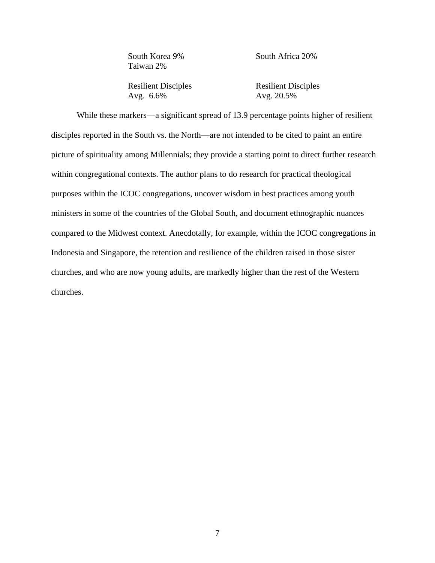South Korea 9% South Africa 20% Taiwan 2%

Resilient Disciples Resilient Disciples Avg. 6.6% Avg. 20.5%

While these markers—a significant spread of 13.9 percentage points higher of resilient disciples reported in the South vs. the North—are not intended to be cited to paint an entire picture of spirituality among Millennials; they provide a starting point to direct further research within congregational contexts. The author plans to do research for practical theological purposes within the ICOC congregations, uncover wisdom in best practices among youth ministers in some of the countries of the Global South, and document ethnographic nuances compared to the Midwest context. Anecdotally, for example, within the ICOC congregations in Indonesia and Singapore, the retention and resilience of the children raised in those sister churches, and who are now young adults, are markedly higher than the rest of the Western churches.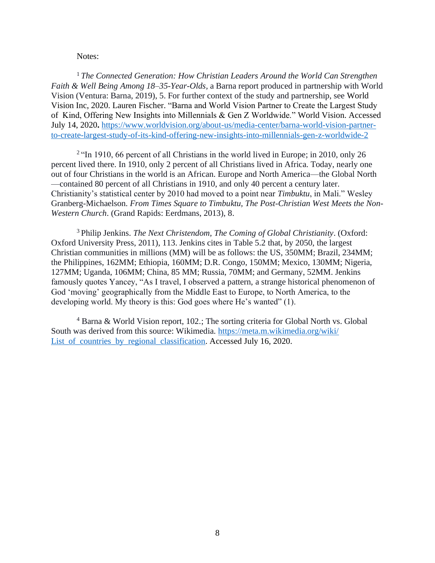#### Notes:

<sup>1</sup> *The Connected Generation: How Christian Leaders Around the World Can Strengthen Faith & Well Being Among 18–35-Year-Olds,* a Barna report produced in partnership with World Vision (Ventura: Barna, 2019), 5. For further context of the study and partnership, see World Vision Inc, 2020. Lauren Fischer. "Barna and World Vision Partner to Create the Largest Study of Kind, Offering New Insights into Millennials & Gen Z Worldwide." World Vision. Accessed July 14, 2020**.** [https://www.worldvision.org/about-us/media-center/barna-world-vision-partner](https://www.worldvision.org/about-us/media-center/barna-world-vision-partner-to-create-largest-study-of-its-kind-offering-new-insights-into-millennials-gen-z-worldwide-2)[to-create-largest-study-of-its-kind-offering-new-insights-into-millennials-gen-z-worldwide-2](https://www.worldvision.org/about-us/media-center/barna-world-vision-partner-to-create-largest-study-of-its-kind-offering-new-insights-into-millennials-gen-z-worldwide-2)

<sup>2</sup> "In 1910, 66 percent of all Christians in the world lived in Europe; in 2010, only 26 percent lived there. In 1910, only 2 percent of all Christians lived in Africa. Today, nearly one out of four Christians in the world is an African. Europe and North America—the Global North —contained 80 percent of all Christians in 1910, and only 40 percent a century later. Christianity's statistical center by 2010 had moved to a point near *Timbuktu*, in Mali." Wesley Granberg-Michaelson. *From Times Square to Timbuktu, The Post-Christian West Meets the Non-Western Church*. (Grand Rapids: Eerdmans, 2013), 8.

<sup>3</sup> Philip Jenkins. *The Next Christendom, The Coming of Global Christianity*. (Oxford: Oxford University Press, 2011), 113. Jenkins cites in Table 5.2 that, by 2050, the largest Christian communities in millions (MM) will be as follows: the US, 350MM; Brazil, 234MM; the Philippines, 162MM; Ethiopia, 160MM; D.R. Congo, 150MM; Mexico, 130MM; Nigeria, 127MM; Uganda, 106MM; China, 85 MM; Russia, 70MM; and Germany, 52MM. Jenkins famously quotes Yancey, "As I travel, I observed a pattern, a strange historical phenomenon of God 'moving' geographically from the Middle East to Europe, to North America, to the developing world. My theory is this: God goes where He's wanted" (1).

<sup>4</sup> Barna & World Vision report, 102.; The sorting criteria for Global North vs. Global South was derived from this source: Wikimedia. [https://meta.m.wikimedia.org/wiki/](https://meta.m.wikimedia.org/wiki/List_of_countries_by_regional_classification) List of countries by regional classification. Accessed July 16, 2020.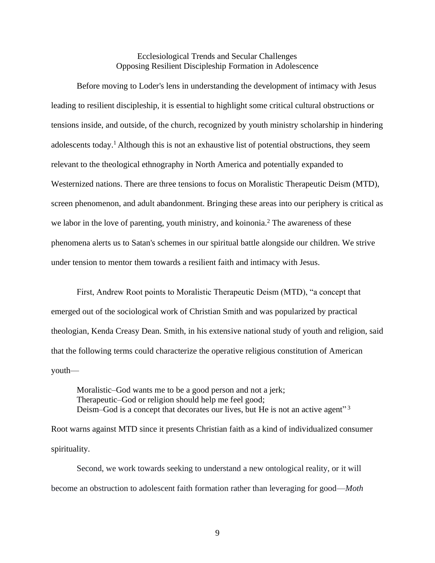Ecclesiological Trends and Secular Challenges Opposing Resilient Discipleship Formation in Adolescence

Before moving to Loder's lens in understanding the development of intimacy with Jesus leading to resilient discipleship, it is essential to highlight some critical cultural obstructions or tensions inside, and outside, of the church, recognized by youth ministry scholarship in hindering adolescents today.<sup>1</sup>Although this is not an exhaustive list of potential obstructions, they seem relevant to the theological ethnography in North America and potentially expanded to Westernized nations. There are three tensions to focus on Moralistic Therapeutic Deism (MTD), screen phenomenon, and adult abandonment. Bringing these areas into our periphery is critical as we labor in the love of parenting, youth ministry, and koinonia.<sup>2</sup> The awareness of these phenomena alerts us to Satan's schemes in our spiritual battle alongside our children. We strive under tension to mentor them towards a resilient faith and intimacy with Jesus.

First, Andrew Root points to Moralistic Therapeutic Deism (MTD), "a concept that emerged out of the sociological work of Christian Smith and was popularized by practical theologian, Kenda Creasy Dean. Smith, in his extensive national study of youth and religion, said that the following terms could characterize the operative religious constitution of American youth—

Moralistic–God wants me to be a good person and not a jerk; Therapeutic–God or religion should help me feel good; Deism–God is a concept that decorates our lives, but He is not an active agent"<sup>3</sup>

Root warns against MTD since it presents Christian faith as a kind of individualized consumer spirituality.

Second, we work towards seeking to understand a new ontological reality, or it will become an obstruction to adolescent faith formation rather than leveraging for good—*Moth* 

9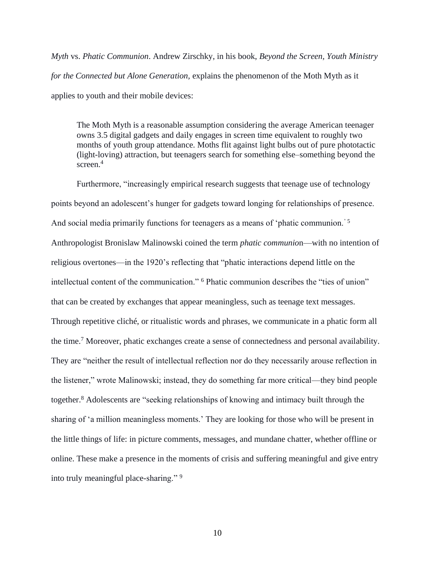*Myth* vs. *Phatic Communion*. Andrew Zirschky, in his book, *Beyond the Screen, Youth Ministry for the Connected but Alone Generation,* explains the phenomenon of the Moth Myth as it applies to youth and their mobile devices:

The Moth Myth is a reasonable assumption considering the average American teenager owns 3.5 digital gadgets and daily engages in screen time equivalent to roughly two months of youth group attendance. Moths flit against light bulbs out of pure phototactic (light-loving) attraction, but teenagers search for something else–something beyond the screen.<sup>4</sup>

Furthermore, "increasingly empirical research suggests that teenage use of technology points beyond an adolescent's hunger for gadgets toward longing for relationships of presence. And social media primarily functions for teenagers as a means of 'phatic communion.<sup>'5</sup> Anthropologist Bronislaw Malinowski coined the term *phatic communio*n—with no intention of religious overtones—in the 1920's reflecting that "phatic interactions depend little on the intellectual content of the communication." <sup>6</sup> Phatic communion describes the "ties of union" that can be created by exchanges that appear meaningless, such as teenage text messages. Through repetitive cliché, or ritualistic words and phrases, we communicate in a phatic form all the time.<sup>7</sup> Moreover, phatic exchanges create a sense of connectedness and personal availability. They are "neither the result of intellectual reflection nor do they necessarily arouse reflection in the listener," wrote Malinowski; instead, they do something far more critical—they bind people together.<sup>8</sup> Adolescents are "seeking relationships of knowing and intimacy built through the sharing of 'a million meaningless moments.' They are looking for those who will be present in the little things of life: in picture comments, messages, and mundane chatter, whether offline or online. These make a presence in the moments of crisis and suffering meaningful and give entry into truly meaningful place-sharing." 9

10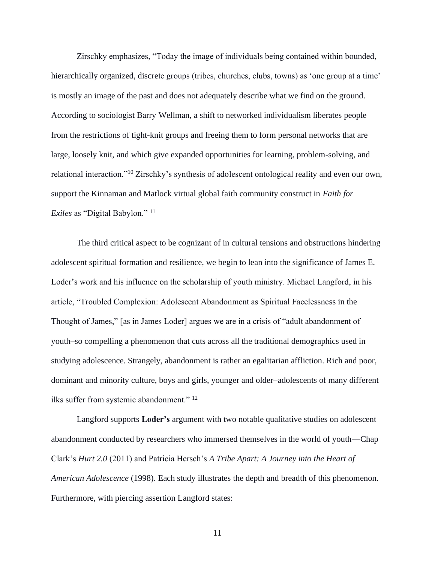Zirschky emphasizes, "Today the image of individuals being contained within bounded, hierarchically organized, discrete groups (tribes, churches, clubs, towns) as 'one group at a time' is mostly an image of the past and does not adequately describe what we find on the ground. According to sociologist Barry Wellman, a shift to networked individualism liberates people from the restrictions of tight-knit groups and freeing them to form personal networks that are large, loosely knit, and which give expanded opportunities for learning, problem-solving, and relational interaction."<sup>10</sup> Zirschky's synthesis of adolescent ontological reality and even our own, support the Kinnaman and Matlock virtual global faith community construct in *Faith for Exiles* as "Digital Babylon."<sup>11</sup>

The third critical aspect to be cognizant of in cultural tensions and obstructions hindering adolescent spiritual formation and resilience, we begin to lean into the significance of James E. Loder's work and his influence on the scholarship of youth ministry. Michael Langford, in his article, "Troubled Complexion: Adolescent Abandonment as Spiritual Facelessness in the Thought of James," [as in James Loder] argues we are in a crisis of "adult abandonment of youth–so compelling a phenomenon that cuts across all the traditional demographics used in studying adolescence. Strangely, abandonment is rather an egalitarian affliction. Rich and poor, dominant and minority culture, boys and girls, younger and older–adolescents of many different ilks suffer from systemic abandonment." <sup>12</sup>

Langford supports **Loder's** argument with two notable qualitative studies on adolescent abandonment conducted by researchers who immersed themselves in the world of youth—Chap Clark's *Hurt 2.0* (2011) and Patricia Hersch's *A Tribe Apart: A Journey into the Heart of American Adolescence* (1998). Each study illustrates the depth and breadth of this phenomenon. Furthermore, with piercing assertion Langford states: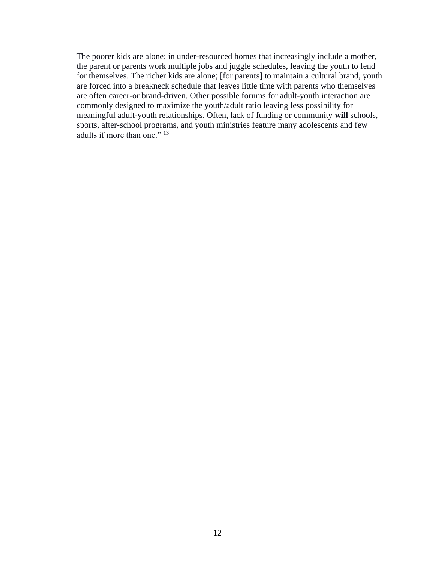The poorer kids are alone; in under-resourced homes that increasingly include a mother, the parent or parents work multiple jobs and juggle schedules, leaving the youth to fend for themselves. The richer kids are alone; [for parents] to maintain a cultural brand, youth are forced into a breakneck schedule that leaves little time with parents who themselves are often career-or brand-driven. Other possible forums for adult-youth interaction are commonly designed to maximize the youth/adult ratio leaving less possibility for meaningful adult-youth relationships. Often, lack of funding or community **will** schools, sports, after-school programs, and youth ministries feature many adolescents and few adults if more than one." 13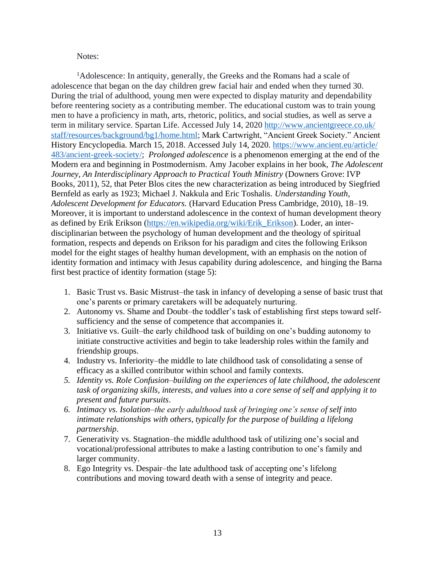#### Notes:

<sup>1</sup>Adolescence: In antiquity, generally, the Greeks and the Romans had a scale of adolescence that began on the day children grew facial hair and ended when they turned 30. During the trial of adulthood, young men were expected to display maturity and dependability before reentering society as a contributing member. The educational custom was to train young men to have a proficiency in math, arts, rhetoric, politics, and social studies, as well as serve a term in military service. Spartan Life. Accessed July 14, 2020 [http://www.ancientgreece.co.uk/](http://www.ancientgreece.co.uk/staff/resources/background/bg1/home.html) [staff/resources/background/bg1/home.html;](http://www.ancientgreece.co.uk/staff/resources/background/bg1/home.html) Mark Cartwright, "Ancient Greek Society." Ancient History Encyclopedia. March 15, 2018. Accessed July 14, 2020. [https://www.ancient.eu/article/](https://www.ancient.eu/article/483/ancient-greek-society/) [483/ancient-greek-society/;](https://www.ancient.eu/article/483/ancient-greek-society/) *Prolonged adolescence* is a phenomenon emerging at the end of the Modern era and beginning in Postmodernism. Amy Jacober explains in her book, *The Adolescent Journey, An Interdisciplinary Approach to Practical Youth Ministry* (Downers Grove: IVP Books, 2011), 52, that Peter Blos cites the new characterization as being introduced by Siegfried Bernfeld as early as 1923; Michael J. Nakkula and Eric Toshalis. *Understanding Youth, Adolescent Development for Educators.* (Harvard Education Press Cambridge, 2010), 18–19. Moreover, it is important to understand adolescence in the context of human development theory as defined by Erik Erikson [\(https://en.wikipedia.org/wiki/Erik\\_Erikson\)](https://en.wikipedia.org/wiki/Erik_Erikson). Loder, an interdisciplinarian between the psychology of human development and the theology of spiritual formation, respects and depends on Erikson for his paradigm and cites the following Erikson model for the eight stages of healthy human development, with an emphasis on the notion of identity formation and intimacy with Jesus capability during adolescence, and hinging the Barna first best practice of identity formation (stage 5):

- 1. Basic Trust vs. Basic Mistrust–the task in infancy of developing a sense of basic trust that one's parents or primary caretakers will be adequately nurturing.
- 2. Autonomy vs. Shame and Doubt–the toddler's task of establishing first steps toward selfsufficiency and the sense of competence that accompanies it.
- 3. Initiative vs. Guilt–the early childhood task of building on one's budding autonomy to initiate constructive activities and begin to take leadership roles within the family and friendship groups.
- 4. Industry vs. Inferiority–the middle to late childhood task of consolidating a sense of efficacy as a skilled contributor within school and family contexts.
- *5. Identity vs. Role Confusion–building on the experiences of late childhood, the adolescent task of organizing skills, interests, and values into a core sense of self and applying it to present and future pursuits*.
- *6. Intimacy vs. Isolation–the early adulthood task of bringing one's sense of self into intimate relationships with others, typically for the purpose of building a lifelong partnership*.
- 7. Generativity vs. Stagnation–the middle adulthood task of utilizing one's social and vocational/professional attributes to make a lasting contribution to one's family and larger community.
- 8. Ego Integrity vs. Despair–the late adulthood task of accepting one's lifelong contributions and moving toward death with a sense of integrity and peace.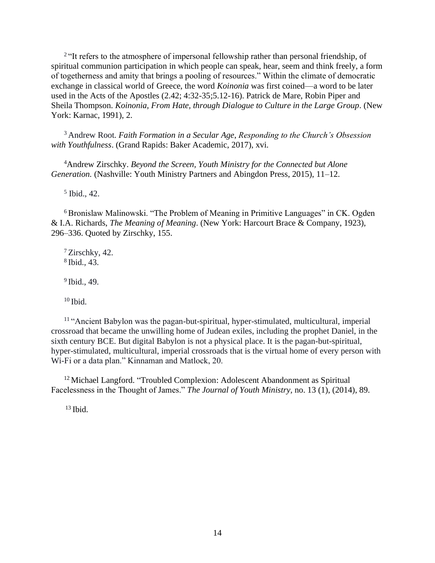<sup>2</sup> "It refers to the atmosphere of impersonal fellowship rather than personal friendship, of spiritual communion participation in which people can speak, hear, seem and think freely, a form of togetherness and amity that brings a pooling of resources." Within the climate of democratic exchange in classical world of Greece, the word *Koinonia* was first coined—a word to be later used in the Acts of the Apostles (2.42; 4:32-35;5.12-16). Patrick de Mare, Robin Piper and Sheila Thompson. *Koinonia, From Hate, through Dialogue to Culture in the Large Group*. (New York: Karnac, 1991), 2.

<sup>3</sup> Andrew Root. *Faith Formation in a Secular Age*, *Responding to the Church's Obsession with Youthfulness*. (Grand Rapids: Baker Academic, 2017), xvi.

<sup>4</sup>Andrew Zirschky. *Beyond the Screen, Youth Ministry for the Connected but Alone Generation.* (Nashville: Youth Ministry Partners and Abingdon Press, 2015), 11–12.

5 Ibid., 42.

 $6B$ ronislaw Malinowski. "The Problem of Meaning in Primitive Languages" in CK. Ogden & I.A. Richards, *The Meaning of Meaning*. (New York: Harcourt Brace & Company, 1923), 296–336. Quoted by Zirschky, 155.

 Zirschky, 42. Ibid., 43. Ibid., 49.  $10$  Ibid.

<sup>11</sup> "Ancient Babylon was the pagan-but-spiritual, hyper-stimulated, multicultural, imperial crossroad that became the unwilling home of Judean exiles, including the prophet Daniel, in the sixth century BCE. But digital Babylon is not a physical place. It is the pagan-but-spiritual, hyper-stimulated, multicultural, imperial crossroads that is the virtual home of every person with Wi-Fi or a data plan." Kinnaman and Matlock, 20.

<sup>12</sup> Michael Langford. "Troubled Complexion: Adolescent Abandonment as Spiritual Facelessness in the Thought of James." *The Journal of Youth Ministry,* no. 13 (1), (2014), 89.

 $13$  Ibid.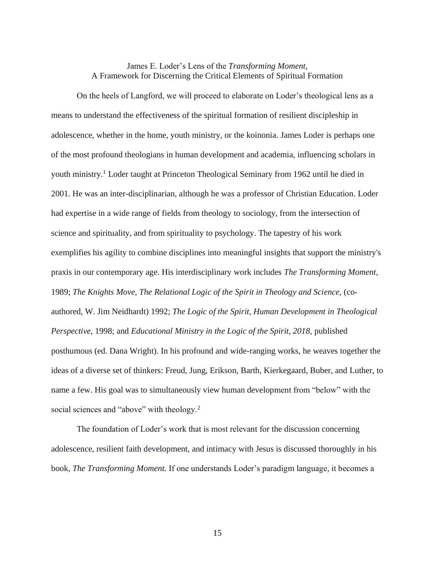## James E. Loder's Lens of the *Transforming Moment*, A Framework for Discerning the Critical Elements of Spiritual Formation

On the heels of Langford, we will proceed to elaborate on Loder's theological lens as a means to understand the effectiveness of the spiritual formation of resilient discipleship in adolescence, whether in the home, youth ministry, or the koinonia. James Loder is perhaps one of the most profound theologians in human development and academia, influencing scholars in youth ministry. <sup>1</sup> Loder taught at Princeton Theological Seminary from 1962 until he died in 2001. He was an inter-disciplinarian, although he was a professor of Christian Education. Loder had expertise in a wide range of fields from theology to sociology, from the intersection of science and spirituality, and from spirituality to psychology. The tapestry of his work exemplifies his agility to combine disciplines into meaningful insights that support the ministry's praxis in our contemporary age. His interdisciplinary work includes *The Transforming Moment*, 1989; *The Knights Move, The Relational Logic of the Spirit in Theology and Science,* (coauthored, W. Jim Neidhardt) 1992; *The Logic of the Spirit, Human Development in Theological Perspective,* 1998; and *Educational Ministry in the Logic of the Spirit, 2018,* published posthumous (ed. Dana Wright). In his profound and wide-ranging works, he weaves together the ideas of a diverse set of thinkers: Freud, Jung, Erikson, Barth, Kierkegaard, Buber, and Luther, to name a few. His goal was to simultaneously view human development from "below" with the social sciences and "above" with theology.<sup>2</sup>

The foundation of Loder's work that is most relevant for the discussion concerning adolescence, resilient faith development, and intimacy with Jesus is discussed thoroughly in his book, *The Transforming Moment.* If one understands Loder's paradigm language, it becomes a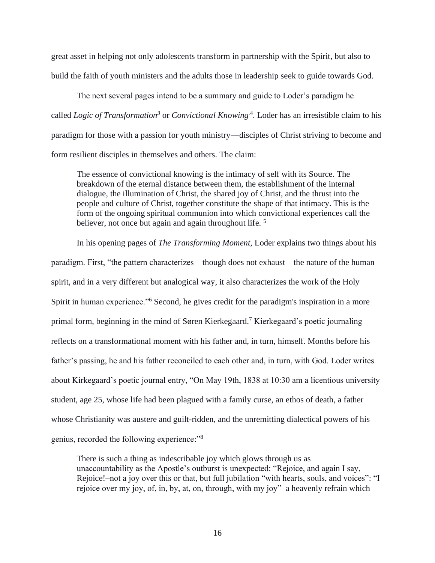great asset in helping not only adolescents transform in partnership with the Spirit, but also to build the faith of youth ministers and the adults those in leadership seek to guide towards God.

The next several pages intend to be a summary and guide to Loder's paradigm he called *Logic of Transformation<sup>3</sup>* or *Convictional Knowing.*<sup>4</sup> *.* Loder has an irresistible claim to his paradigm for those with a passion for youth ministry—disciples of Christ striving to become and form resilient disciples in themselves and others. The claim:

The essence of convictional knowing is the intimacy of self with its Source. The breakdown of the eternal distance between them, the establishment of the internal dialogue, the illumination of Christ, the shared joy of Christ, and the thrust into the people and culture of Christ, together constitute the shape of that intimacy. This is the form of the ongoing spiritual communion into which convictional experiences call the believer, not once but again and again throughout life.<sup>5</sup>

In his opening pages of *The Transforming Moment*, Loder explains two things about his paradigm. First, "the pattern characterizes—though does not exhaust—the nature of the human spirit, and in a very different but analogical way, it also characterizes the work of the Holy Spirit in human experience."<sup>6</sup> Second, he gives credit for the paradigm's inspiration in a more primal form, beginning in the mind of Søren Kierkegaard.<sup>7</sup> Kierkegaard's poetic journaling reflects on a transformational moment with his father and, in turn, himself. Months before his father's passing, he and his father reconciled to each other and, in turn, with God. Loder writes about Kirkegaard's poetic journal entry, "On May 19th, 1838 at 10:30 am a licentious university student, age 25, whose life had been plagued with a family curse, an ethos of death, a father whose Christianity was austere and guilt-ridden, and the unremitting dialectical powers of his genius, recorded the following experience:"<sup>8</sup>

There is such a thing as indescribable joy which glows through us as unaccountability as the Apostle's outburst is unexpected: "Rejoice, and again I say, Rejoice!–not a joy over this or that, but full jubilation "with hearts, souls, and voices": "I rejoice over my joy, of, in, by, at, on, through, with my joy"–a heavenly refrain which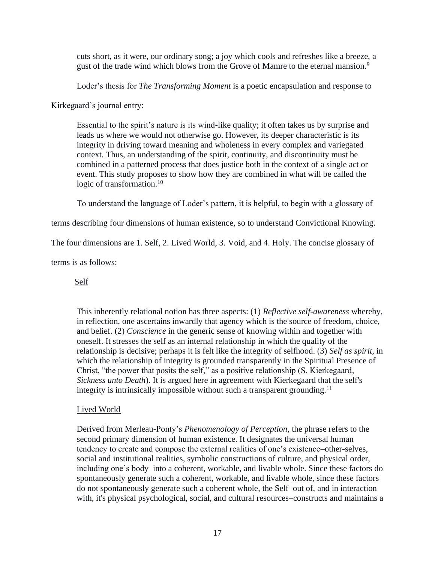cuts short, as it were, our ordinary song; a joy which cools and refreshes like a breeze, a gust of the trade wind which blows from the Grove of Mamre to the eternal mansion.<sup>9</sup>

Loder's thesis for *The Transforming Moment* is a poetic encapsulation and response to

Kirkegaard's journal entry:

Essential to the spirit's nature is its wind-like quality; it often takes us by surprise and leads us where we would not otherwise go. However, its deeper characteristic is its integrity in driving toward meaning and wholeness in every complex and variegated context. Thus, an understanding of the spirit, continuity, and discontinuity must be combined in a patterned process that does justice both in the context of a single act or event. This study proposes to show how they are combined in what will be called the logic of transformation.<sup>10</sup>

To understand the language of Loder's pattern, it is helpful, to begin with a glossary of

terms describing four dimensions of human existence, so to understand Convictional Knowing.

The four dimensions are 1. Self, 2. Lived World, 3. Void, and 4. Holy. The concise glossary of

terms is as follows:

Self

This inherently relational notion has three aspects: (1) *Reflective self-awareness* whereby, in reflection, one ascertains inwardly that agency which is the source of freedom, choice, and belief. (2) *Conscience* in the generic sense of knowing within and together with oneself. It stresses the self as an internal relationship in which the quality of the relationship is decisive; perhaps it is felt like the integrity of selfhood. (3) *Self as spirit,* in which the relationship of integrity is grounded transparently in the Spiritual Presence of Christ, "the power that posits the self," as a positive relationship (S. Kierkegaard*, Sickness unto Death*). It is argued here in agreement with Kierkegaard that the self's integrity is intrinsically impossible without such a transparent grounding.<sup>11</sup>

### Lived World

Derived from Merleau-Ponty's *Phenomenology of Perception*, the phrase refers to the second primary dimension of human existence. It designates the universal human tendency to create and compose the external realities of one's existence–other-selves, social and institutional realities, symbolic constructions of culture, and physical order, including one's body–into a coherent, workable, and livable whole. Since these factors do spontaneously generate such a coherent, workable, and livable whole, since these factors do not spontaneously generate such a coherent whole, the Self–out of, and in interaction with, it's physical psychological, social, and cultural resources–constructs and maintains a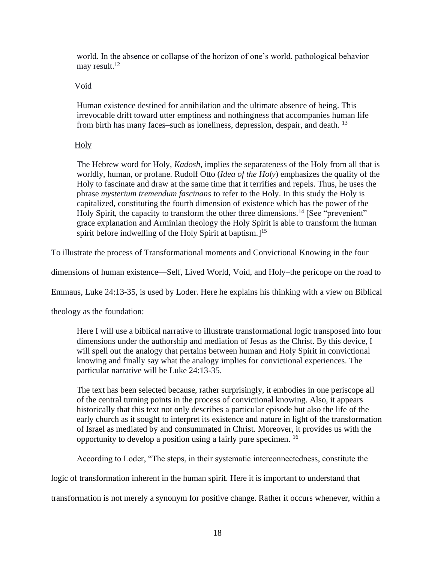world. In the absence or collapse of the horizon of one's world, pathological behavior may result.<sup>12</sup>

# Void

Human existence destined for annihilation and the ultimate absence of being. This irrevocable drift toward utter emptiness and nothingness that accompanies human life from birth has many faces–such as loneliness, depression, despair, and death. <sup>13</sup>

# Holy

The Hebrew word for Holy, *Kadosh*, implies the separateness of the Holy from all that is worldly, human, or profane. Rudolf Otto (*Idea of the Holy*) emphasizes the quality of the Holy to fascinate and draw at the same time that it terrifies and repels. Thus, he uses the phrase *mysterium tremendum fascinans* to refer to the Holy. In this study the Holy is capitalized, constituting the fourth dimension of existence which has the power of the Holy Spirit, the capacity to transform the other three dimensions.<sup>14</sup> [See "prevenient" grace explanation and Arminian theology the Holy Spirit is able to transform the human spirit before indwelling of the Holy Spirit at baptism.]<sup>15</sup>

To illustrate the process of Transformational moments and Convictional Knowing in the four

dimensions of human existence—Self, Lived World, Void, and Holy–the pericope on the road to

Emmaus, Luke 24:13-35, is used by Loder. Here he explains his thinking with a view on Biblical

theology as the foundation:

Here I will use a biblical narrative to illustrate transformational logic transposed into four dimensions under the authorship and mediation of Jesus as the Christ. By this device, I will spell out the analogy that pertains between human and Holy Spirit in convictional knowing and finally say what the analogy implies for convictional experiences. The particular narrative will be Luke 24:13-35.

The text has been selected because, rather surprisingly, it embodies in one periscope all of the central turning points in the process of convictional knowing. Also, it appears historically that this text not only describes a particular episode but also the life of the early church as it sought to interpret its existence and nature in light of the transformation of Israel as mediated by and consummated in Christ. Moreover, it provides us with the opportunity to develop a position using a fairly pure specimen. <sup>16</sup>

According to Loder, "The steps, in their systematic interconnectedness, constitute the

logic of transformation inherent in the human spirit. Here it is important to understand that

transformation is not merely a synonym for positive change. Rather it occurs whenever, within a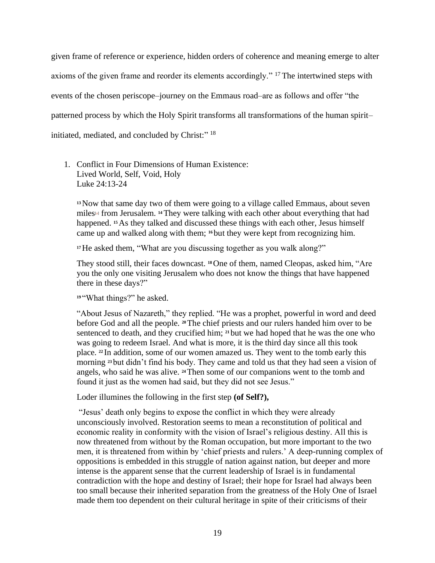given frame of reference or experience, hidden orders of coherence and meaning emerge to alter axioms of the given frame and reorder its elements accordingly." <sup>17</sup> The intertwined steps with events of the chosen periscope–journey on the Emmaus road–are as follows and offer "the patterned process by which the Holy Spirit transforms all transformations of the human spirit– initiated, mediated, and concluded by Christ:"<sup>18</sup>

1. Conflict in Four Dimensions of Human Existence: Lived World, Self, Void, Holy Luke 24:13-24

**<sup>13</sup>**Now that same day two of them were going to a village called Emmaus, about seven miles[\[a\]](https://www.biblegateway.com/passage/?search=Luke+24%3A13-35&version=NIV#fen-NIV-26005a) from Jerusalem. **<sup>14</sup>**They were talking with each other about everything that had happened. <sup>15</sup>As they talked and discussed these things with each other, Jesus himself came up and walked along with them; **<sup>16</sup>** but they were kept from recognizing him.

**<sup>17</sup>**He asked them, "What are you discussing together as you walk along?"

They stood still, their faces downcast. **<sup>18</sup>**One of them, named Cleopas, asked him, "Are you the only one visiting Jerusalem who does not know the things that have happened there in these days?"

**<sup>19</sup>** "What things?" he asked.

"About Jesus of Nazareth," they replied. "He was a prophet, powerful in word and deed before God and all the people. **<sup>20</sup>**The chief priests and our rulers handed him over to be sentenced to death, and they crucified him; **<sup>21</sup>** but we had hoped that he was the one who was going to redeem Israel. And what is more, it is the third day since all this took place. **<sup>22</sup>** In addition, some of our women amazed us. They went to the tomb early this morning **<sup>23</sup>** but didn't find his body. They came and told us that they had seen a vision of angels, who said he was alive. **<sup>24</sup>**Then some of our companions went to the tomb and found it just as the women had said, but they did not see Jesus."

Loder illumines the following in the first step **(of Self?),**

"Jesus' death only begins to expose the conflict in which they were already unconsciously involved. Restoration seems to mean a reconstitution of political and economic reality in conformity with the vision of Israel's religious destiny. All this is now threatened from without by the Roman occupation, but more important to the two men, it is threatened from within by 'chief priests and rulers.' A deep-running complex of oppositions is embedded in this struggle of nation against nation, but deeper and more intense is the apparent sense that the current leadership of Israel is in fundamental contradiction with the hope and destiny of Israel; their hope for Israel had always been too small because their inherited separation from the greatness of the Holy One of Israel made them too dependent on their cultural heritage in spite of their criticisms of their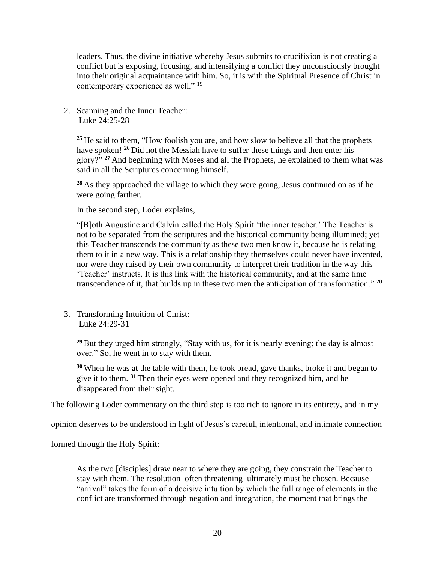leaders. Thus, the divine initiative whereby Jesus submits to crucifixion is not creating a conflict but is exposing, focusing, and intensifying a conflict they unconsciously brought into their original acquaintance with him. So, it is with the Spiritual Presence of Christ in contemporary experience as well."<sup>19</sup>

2. Scanning and the Inner Teacher: Luke 24:25-28

> <sup>25</sup> He said to them, "How foolish you are, and how slow to believe all that the prophets have spoken! <sup>26</sup> Did not the Messiah have to suffer these things and then enter his glory?" **<sup>27</sup>** And beginning with Moses and all the Prophets, he explained to them what was said in all the Scriptures concerning himself.

**<sup>28</sup>** As they approached the village to which they were going, Jesus continued on as if he were going farther.

In the second step, Loder explains,

"[B]oth Augustine and Calvin called the Holy Spirit 'the inner teacher.' The Teacher is not to be separated from the scriptures and the historical community being illumined; yet this Teacher transcends the community as these two men know it, because he is relating them to it in a new way. This is a relationship they themselves could never have invented, nor were they raised by their own community to interpret their tradition in the way this 'Teacher' instructs. It is this link with the historical community, and at the same time transcendence of it, that builds up in these two men the anticipation of transformation." 20

3. Transforming Intuition of Christ: Luke 24:29-31

> **<sup>29</sup>**But they urged him strongly, "Stay with us, for it is nearly evening; the day is almost over." So, he went in to stay with them.

**<sup>30</sup>** When he was at the table with them, he took bread, gave thanks, broke it and began to give it to them. **<sup>31</sup>** Then their eyes were opened and they recognized him, and he disappeared from their sight.

The following Loder commentary on the third step is too rich to ignore in its entirety, and in my

opinion deserves to be understood in light of Jesus's careful, intentional, and intimate connection

formed through the Holy Spirit:

As the two [disciples] draw near to where they are going, they constrain the Teacher to stay with them. The resolution–often threatening–ultimately must be chosen. Because "arrival" takes the form of a decisive intuition by which the full range of elements in the conflict are transformed through negation and integration, the moment that brings the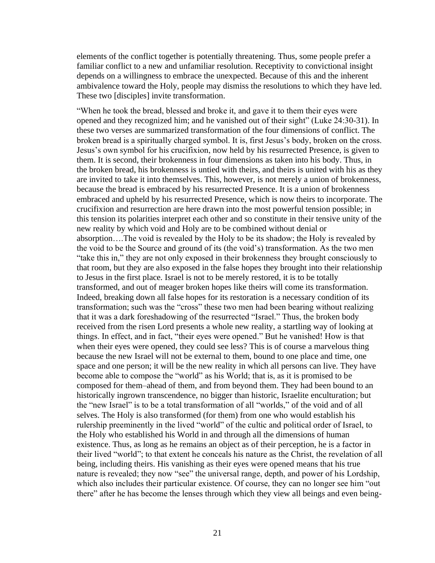elements of the conflict together is potentially threatening. Thus, some people prefer a familiar conflict to a new and unfamiliar resolution. Receptivity to convictional insight depends on a willingness to embrace the unexpected. Because of this and the inherent ambivalence toward the Holy, people may dismiss the resolutions to which they have led. These two [disciples] invite transformation.

"When he took the bread, blessed and broke it, and gave it to them their eyes were opened and they recognized him; and he vanished out of their sight" (Luke 24:30-31). In these two verses are summarized transformation of the four dimensions of conflict. The broken bread is a spiritually charged symbol. It is, first Jesus's body, broken on the cross. Jesus's own symbol for his crucifixion, now held by his resurrected Presence, is given to them. It is second, their brokenness in four dimensions as taken into his body. Thus, in the broken bread, his brokenness is untied with theirs, and theirs is united with his as they are invited to take it into themselves. This, however, is not merely a union of brokenness, because the bread is embraced by his resurrected Presence. It is a union of brokenness embraced and upheld by his resurrected Presence, which is now theirs to incorporate. The crucifixion and resurrection are here drawn into the most powerful tension possible; in this tension its polarities interpret each other and so constitute in their tensive unity of the new reality by which void and Holy are to be combined without denial or absorption….The void is revealed by the Holy to be its shadow; the Holy is revealed by the void to be the Source and ground of its (the void's) transformation. As the two men "take this in," they are not only exposed in their brokenness they brought consciously to that room, but they are also exposed in the false hopes they brought into their relationship to Jesus in the first place. Israel is not to be merely restored, it is to be totally transformed, and out of meager broken hopes like theirs will come its transformation. Indeed, breaking down all false hopes for its restoration is a necessary condition of its transformation; such was the "cross" these two men had been bearing without realizing that it was a dark foreshadowing of the resurrected "Israel." Thus, the broken body received from the risen Lord presents a whole new reality, a startling way of looking at things. In effect, and in fact, "their eyes were opened." But he vanished! How is that when their eyes were opened, they could see less? This is of course a marvelous thing because the new Israel will not be external to them, bound to one place and time, one space and one person; it will be the new reality in which all persons can live. They have become able to compose the "world" as his World; that is, as it is promised to be composed for them–ahead of them, and from beyond them. They had been bound to an historically ingrown transcendence, no bigger than historic, Israelite enculturation; but the "new Israel" is to be a total transformation of all "worlds," of the void and of all selves. The Holy is also transformed (for them) from one who would establish his rulership preeminently in the lived "world" of the cultic and political order of Israel, to the Holy who established his World in and through all the dimensions of human existence. Thus, as long as he remains an object as of their perception, he is a factor in their lived "world"; to that extent he conceals his nature as the Christ, the revelation of all being, including theirs. His vanishing as their eyes were opened means that his true nature is revealed; they now "see" the universal range, depth, and power of his Lordship, which also includes their particular existence. Of course, they can no longer see him "out there" after he has become the lenses through which they view all beings and even being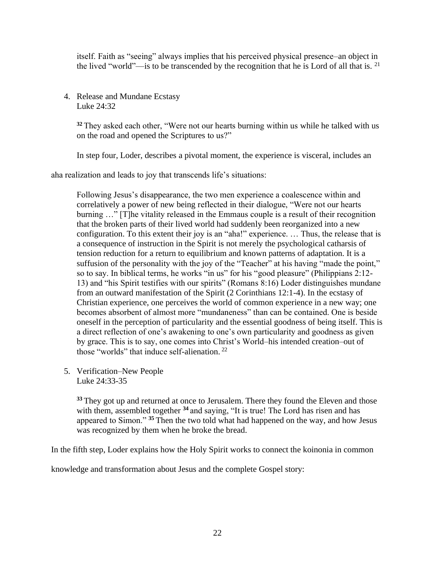itself. Faith as "seeing" always implies that his perceived physical presence–an object in the lived "world"—is to be transcended by the recognition that he is Lord of all that is.  $21$ 

4. Release and Mundane Ecstasy Luke 24:32

> **<sup>32</sup>** They asked each other, "Were not our hearts burning within us while he talked with us on the road and opened the Scriptures to us?"

In step four, Loder, describes a pivotal moment, the experience is visceral, includes an

aha realization and leads to joy that transcends life's situations:

Following Jesus's disappearance, the two men experience a coalescence within and correlatively a power of new being reflected in their dialogue, "Were not our hearts burning ..." [T]he vitality released in the Emmaus couple is a result of their recognition that the broken parts of their lived world had suddenly been reorganized into a new configuration. To this extent their joy is an "aha!" experience. … Thus, the release that is a consequence of instruction in the Spirit is not merely the psychological catharsis of tension reduction for a return to equilibrium and known patterns of adaptation. It is a suffusion of the personality with the joy of the "Teacher" at his having "made the point," so to say. In biblical terms, he works "in us" for his "good pleasure" (Philippians 2:12- 13) and "his Spirit testifies with our spirits" (Romans 8:16) Loder distinguishes mundane from an outward manifestation of the Spirit (2 Corinthians 12:1-4). In the ecstasy of Christian experience, one perceives the world of common experience in a new way; one becomes absorbent of almost more "mundaneness" than can be contained. One is beside oneself in the perception of particularity and the essential goodness of being itself. This is a direct reflection of one's awakening to one's own particularity and goodness as given by grace. This is to say, one comes into Christ's World–his intended creation–out of those "worlds" that induce self-alienation. <sup>22</sup>

5. Verification–New People Luke 24:33-35

> **<sup>33</sup>** They got up and returned at once to Jerusalem. There they found the Eleven and those with them, assembled together <sup>34</sup> and saying, "It is true! The Lord has risen and has appeared to Simon." **<sup>35</sup>** Then the two told what had happened on the way, and how Jesus was recognized by them when he broke the bread.

In the fifth step, Loder explains how the Holy Spirit works to connect the koinonia in common

knowledge and transformation about Jesus and the complete Gospel story: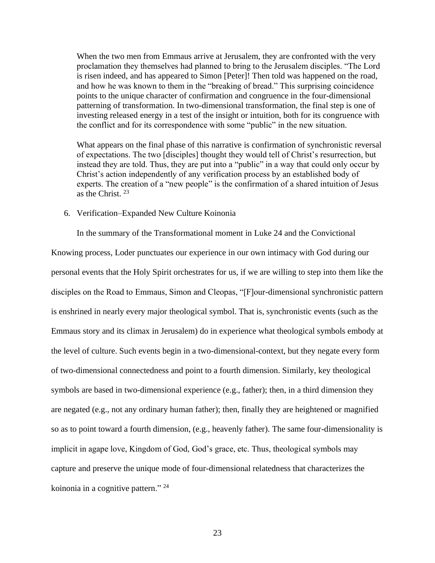When the two men from Emmaus arrive at Jerusalem, they are confronted with the very proclamation they themselves had planned to bring to the Jerusalem disciples. "The Lord is risen indeed, and has appeared to Simon [Peter]! Then told was happened on the road, and how he was known to them in the "breaking of bread." This surprising coincidence points to the unique character of confirmation and congruence in the four-dimensional patterning of transformation. In two-dimensional transformation, the final step is one of investing released energy in a test of the insight or intuition, both for its congruence with the conflict and for its correspondence with some "public" in the new situation.

What appears on the final phase of this narrative is confirmation of synchronistic reversal of expectations. The two [disciples] thought they would tell of Christ's resurrection, but instead they are told. Thus, they are put into a "public" in a way that could only occur by Christ's action independently of any verification process by an established body of experts. The creation of a "new people" is the confirmation of a shared intuition of Jesus as the Christ. <sup>23</sup>

#### 6. Verification–Expanded New Culture Koinonia

In the summary of the Transformational moment in Luke 24 and the Convictional

Knowing process, Loder punctuates our experience in our own intimacy with God during our personal events that the Holy Spirit orchestrates for us, if we are willing to step into them like the disciples on the Road to Emmaus, Simon and Cleopas, "[F]our-dimensional synchronistic pattern is enshrined in nearly every major theological symbol. That is, synchronistic events (such as the Emmaus story and its climax in Jerusalem) do in experience what theological symbols embody at the level of culture. Such events begin in a two-dimensional-context, but they negate every form of two-dimensional connectedness and point to a fourth dimension. Similarly, key theological symbols are based in two-dimensional experience (e.g., father); then, in a third dimension they are negated (e.g., not any ordinary human father); then, finally they are heightened or magnified so as to point toward a fourth dimension, (e.g., heavenly father). The same four-dimensionality is implicit in agape love, Kingdom of God, God's grace, etc. Thus, theological symbols may capture and preserve the unique mode of four-dimensional relatedness that characterizes the koinonia in a cognitive pattern." <sup>24</sup>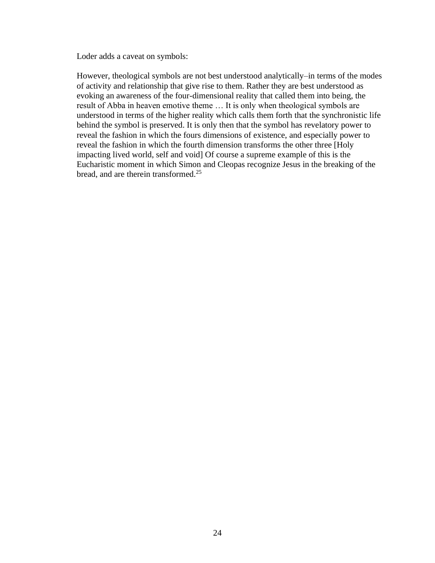Loder adds a caveat on symbols:

However, theological symbols are not best understood analytically–in terms of the modes of activity and relationship that give rise to them. Rather they are best understood as evoking an awareness of the four-dimensional reality that called them into being, the result of Abba in heaven emotive theme … It is only when theological symbols are understood in terms of the higher reality which calls them forth that the synchronistic life behind the symbol is preserved. It is only then that the symbol has revelatory power to reveal the fashion in which the fours dimensions of existence, and especially power to reveal the fashion in which the fourth dimension transforms the other three [Holy impacting lived world, self and void] Of course a supreme example of this is the Eucharistic moment in which Simon and Cleopas recognize Jesus in the breaking of the bread, and are therein transformed.<sup>25</sup>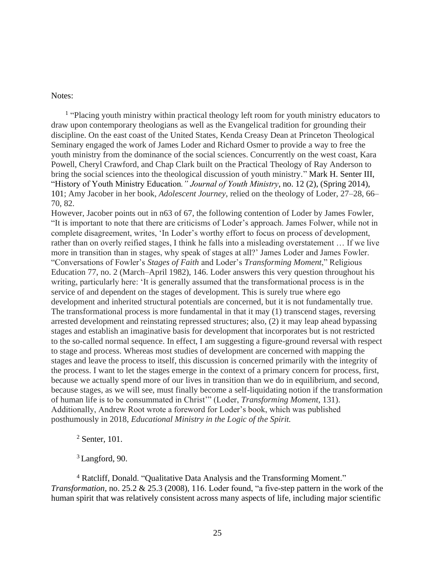#### Notes:

<sup>1</sup> "Placing youth ministry within practical theology left room for youth ministry educators to draw upon contemporary theologians as well as the Evangelical tradition for grounding their discipline. On the east coast of the United States, Kenda Creasy Dean at Princeton Theological Seminary engaged the work of James Loder and Richard Osmer to provide a way to free the youth ministry from the dominance of the social sciences. Concurrently on the west coast, Kara Powell, Cheryl Crawford, and Chap Clark built on the Practical Theology of Ray Anderson to bring the social sciences into the theological discussion of youth ministry." Mark H. Senter III, "History of Youth Ministry Education*." Journal of Youth Ministry*, no. 12 (2), (Spring 2014), 101; Amy Jacober in her book, *Adolescent Journey*, relied on the theology of Loder, 27–28, 66– 70, 82.

However, Jacober points out in n63 of 67, the following contention of Loder by James Fowler, "It is important to note that there are criticisms of Loder's approach. James Folwer, while not in complete disagreement, writes, 'In Loder's worthy effort to focus on process of development, rather than on overly reified stages, I think he falls into a misleading overstatement … If we live more in transition than in stages, why speak of stages at all?' James Loder and James Fowler. "Conversations of Fowler's *Stages of Faith* and Loder's *Transforming Moment*," Religious Education 77, no. 2 (March–April 1982), 146. Loder answers this very question throughout his writing, particularly here: 'It is generally assumed that the transformational process is in the service of and dependent on the stages of development. This is surely true where ego development and inherited structural potentials are concerned, but it is not fundamentally true. The transformational process is more fundamental in that it may (1) transcend stages, reversing arrested development and reinstating repressed structures; also, (2) it may leap ahead bypassing stages and establish an imaginative basis for development that incorporates but is not restricted to the so-called normal sequence. In effect, I am suggesting a figure-ground reversal with respect to stage and process. Whereas most studies of development are concerned with mapping the stages and leave the process to itself, this discussion is concerned primarily with the integrity of the process. I want to let the stages emerge in the context of a primary concern for process, first, because we actually spend more of our lives in transition than we do in equilibrium, and second, because stages, as we will see, must finally become a self-liquidating notion if the transformation of human life is to be consummated in Christ'" (Loder, *Transforming Moment*, 131). Additionally, Andrew Root wrote a foreword for Loder's book, which was published posthumously in 2018, *Educational Ministry in the Logic of the Spirit.*

<sup>2</sup> Senter, 101.

<sup>3</sup> Langford, 90.

<sup>4</sup> Ratcliff, Donald. "Qualitative Data Analysis and the Transforming Moment." *Transformation*, no. 25.2 & 25.3 (2008), 116. Loder found, "a five-step pattern in the work of the human spirit that was relatively consistent across many aspects of life, including major scientific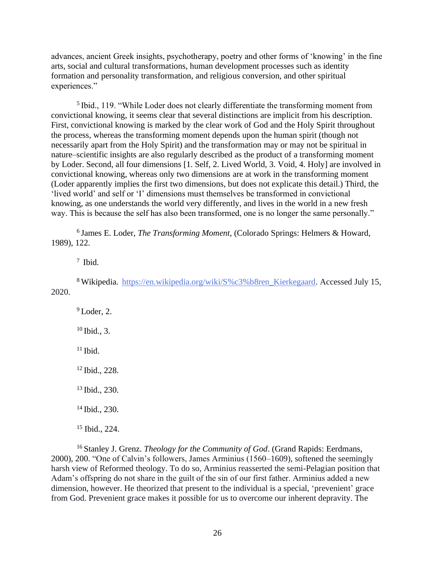advances, ancient Greek insights, psychotherapy, poetry and other forms of 'knowing' in the fine arts, social and cultural transformations, human development processes such as identity formation and personality transformation, and religious conversion, and other spiritual experiences."

<sup>5</sup> Ibid., 119. "While Loder does not clearly differentiate the transforming moment from convictional knowing, it seems clear that several distinctions are implicit from his description. First, convictional knowing is marked by the clear work of God and the Holy Spirit throughout the process, whereas the transforming moment depends upon the human spirit (though not necessarily apart from the Holy Spirit) and the transformation may or may not be spiritual in nature–scientific insights are also regularly described as the product of a transforming moment by Loder. Second, all four dimensions [1. Self, 2. Lived World, 3. Void, 4. Holy] are involved in convictional knowing, whereas only two dimensions are at work in the transforming moment (Loder apparently implies the first two dimensions, but does not explicate this detail.) Third, the 'lived world' and self or 'I' dimensions must themselves be transformed in convictional knowing, as one understands the world very differently, and lives in the world in a new fresh way. This is because the self has also been transformed, one is no longer the same personally."

6 James E. Loder, *The Transforming Moment*, (Colorado Springs: Helmers & Howard, 1989), 122.

7 Ibid.

<sup>8</sup> Wikipedia. [https://en.wikipedia.org/wiki/S%c3%b8ren\\_Kierkegaard.](https://en.wikipedia.org/wiki/S%c3%b8ren_Kierkegaard) Accessed July 15, 2020.

 $<sup>9</sup>$  Loder, 2.</sup>  $10$  Ibid., 3.  $11$  Ibid.

<sup>12</sup> Ibid., 228.

<sup>13</sup> Ibid., 230.

<sup>14</sup> Ibid., 230.

<sup>15</sup> Ibid., 224.

<sup>16</sup> Stanley J. Grenz. *Theology for the Community of God*. (Grand Rapids: Eerdmans, 2000), 200. "One of Calvin's followers, James Arminius (1560–1609), softened the seemingly harsh view of Reformed theology. To do so, Arminius reasserted the semi-Pelagian position that Adam's offspring do not share in the guilt of the sin of our first father. Arminius added a new dimension, however. He theorized that present to the individual is a special, 'prevenient' grace from God. Prevenient grace makes it possible for us to overcome our inherent depravity. The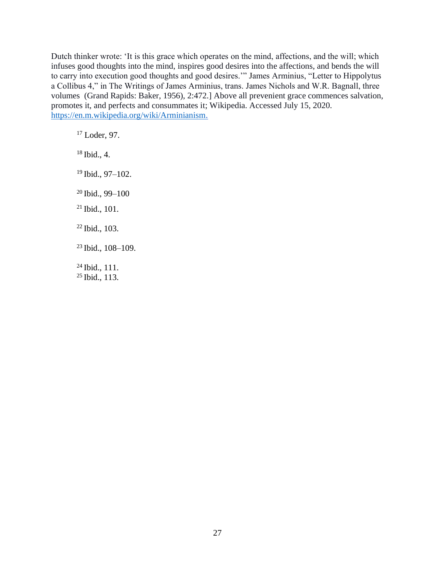Dutch thinker wrote: 'It is this grace which operates on the mind, affections, and the will; which infuses good thoughts into the mind, inspires good desires into the affections, and bends the will to carry into execution good thoughts and good desires.'" James Arminius, "Letter to Hippolytus a Collibus 4," in The Writings of James Arminius, trans. James Nichols and W.R. Bagnall, three volumes (Grand Rapids: Baker, 1956), 2:472.] Above all prevenient grace commences salvation, promotes it, and perfects and consummates it; Wikipedia. Accessed July 15, 2020[.](file:///C:/Users/rr101209/Documents/%20https:/en.m.wikipedia.org/wiki/Arminianism) [https://en.m.wikipedia.org/wiki/Arminianism.](file:///C:/Users/rr101209/Documents/%20https:/en.m.wikipedia.org/wiki/Arminianism)

 Loder, 97. Ibid., 4. Ibid., 97–102. Ibid., 99–100 Ibid., 101. Ibid., 103. Ibid., 108–109. Ibid., 111. Ibid., 113.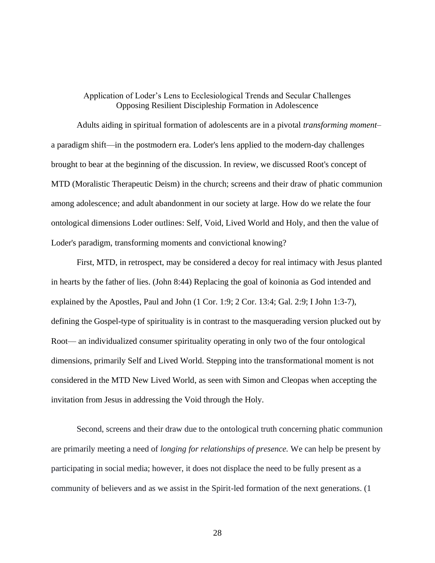## Application of Loder's Lens to Ecclesiological Trends and Secular Challenges Opposing Resilient Discipleship Formation in Adolescence

Adults aiding in spiritual formation of adolescents are in a pivotal *transforming moment–* a paradigm shift—in the postmodern era. Loder's lens applied to the modern-day challenges brought to bear at the beginning of the discussion. In review, we discussed Root's concept of MTD (Moralistic Therapeutic Deism) in the church; screens and their draw of phatic communion among adolescence; and adult abandonment in our society at large. How do we relate the four ontological dimensions Loder outlines: Self, Void, Lived World and Holy, and then the value of Loder's paradigm, transforming moments and convictional knowing?

First, MTD, in retrospect, may be considered a decoy for real intimacy with Jesus planted in hearts by the father of lies. (John 8:44) Replacing the goal of koinonia as God intended and explained by the Apostles, Paul and John (1 Cor. 1:9; 2 Cor. 13:4; Gal. 2:9; I John 1:3-7), defining the Gospel-type of spirituality is in contrast to the masquerading version plucked out by Root— an individualized consumer spirituality operating in only two of the four ontological dimensions, primarily Self and Lived World. Stepping into the transformational moment is not considered in the MTD New Lived World, as seen with Simon and Cleopas when accepting the invitation from Jesus in addressing the Void through the Holy.

Second, screens and their draw due to the ontological truth concerning phatic communion are primarily meeting a need of *longing for relationships of presence.* We can help be present by participating in social media; however, it does not displace the need to be fully present as a community of believers and as we assist in the Spirit-led formation of the next generations. (1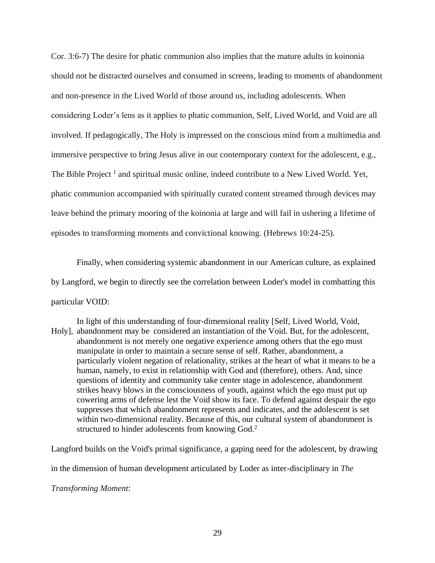Cor. 3:6-7) The desire for phatic communion also implies that the mature adults in koinonia should not be distracted ourselves and consumed in screens, leading to moments of abandonment and non-presence in the Lived World of those around us, including adolescents. When considering Loder's lens as it applies to phatic communion, Self, Lived World, and Void are all involved. If pedagogically, The Holy is impressed on the conscious mind from a multimedia and immersive perspective to bring Jesus alive in our contemporary context for the adolescent, e.g., The Bible Project<sup>1</sup> and spiritual music online, indeed contribute to a New Lived World. Yet, phatic communion accompanied with spiritually curated content streamed through devices may leave behind the primary mooring of the koinonia at large and will fail in ushering a lifetime of episodes to transforming moments and convictional knowing. (Hebrews 10:24-25).

Finally, when considering systemic abandonment in our American culture, as explained by Langford, we begin to directly see the correlation between Loder's model in combatting this particular VOID:

In light of this understanding of four-dimensional reality [Self, Lived World, Void, Holy], abandonment may be considered an instantiation of the Void. But, for the adolescent, abandonment is not merely one negative experience among others that the ego must manipulate in order to maintain a secure sense of self. Rather, abandonment, a particularly violent negation of relationality, strikes at the heart of what it means to be a human, namely, to exist in relationship with God and (therefore), others. And, since questions of identity and community take center stage in adolescence, abandonment strikes heavy blows in the consciousness of youth, against which the ego must put up cowering arms of defense lest the Void show its face. To defend against despair the ego suppresses that which abandonment represents and indicates, and the adolescent is set within two-dimensional reality. Because of this, our cultural system of abandonment is structured to hinder adolescents from knowing God.<sup>2</sup>

Langford builds on the Void's primal significance, a gaping need for the adolescent, by drawing in the dimension of human development articulated by Loder as inter-disciplinary in *The* 

*Transforming Moment*: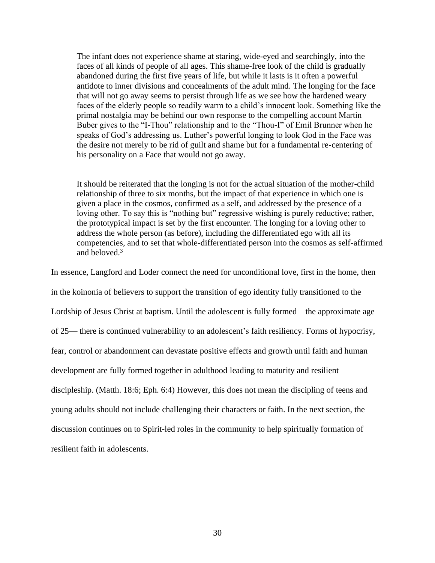The infant does not experience shame at staring, wide-eyed and searchingly, into the faces of all kinds of people of all ages. This shame-free look of the child is gradually abandoned during the first five years of life, but while it lasts is it often a powerful antidote to inner divisions and concealments of the adult mind. The longing for the face that will not go away seems to persist through life as we see how the hardened weary faces of the elderly people so readily warm to a child's innocent look. Something like the primal nostalgia may be behind our own response to the compelling account Martin Buber gives to the "I-Thou" relationship and to the "Thou-I" of Emil Brunner when he speaks of God's addressing us. Luther's powerful longing to look God in the Face was the desire not merely to be rid of guilt and shame but for a fundamental re-centering of his personality on a Face that would not go away.

It should be reiterated that the longing is not for the actual situation of the mother-child relationship of three to six months, but the impact of that experience in which one is given a place in the cosmos, confirmed as a self, and addressed by the presence of a loving other. To say this is "nothing but" regressive wishing is purely reductive; rather, the prototypical impact is set by the first encounter. The longing for a loving other to address the whole person (as before), including the differentiated ego with all its competencies, and to set that whole-differentiated person into the cosmos as self-affirmed and beloved.<sup>3</sup>

In essence, Langford and Loder connect the need for unconditional love, first in the home, then in the koinonia of believers to support the transition of ego identity fully transitioned to the Lordship of Jesus Christ at baptism. Until the adolescent is fully formed—the approximate age of 25— there is continued vulnerability to an adolescent's faith resiliency. Forms of hypocrisy, fear, control or abandonment can devastate positive effects and growth until faith and human development are fully formed together in adulthood leading to maturity and resilient discipleship. (Matth. 18:6; Eph. 6:4) However, this does not mean the discipling of teens and young adults should not include challenging their characters or faith. In the next section, the discussion continues on to Spirit-led roles in the community to help spiritually formation of resilient faith in adolescents.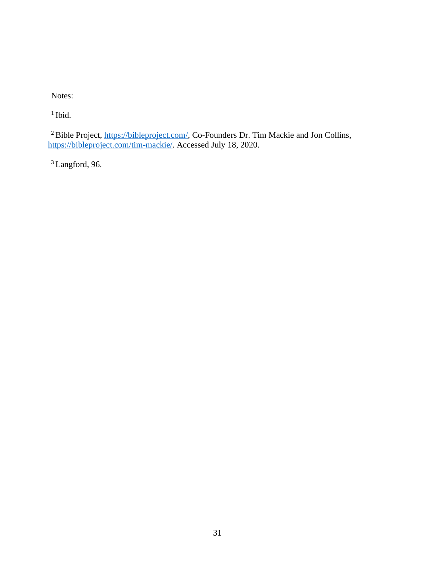Notes:

<sup>1</sup> Ibid.

<sup>2</sup> Bible Project, [https://bibleproject.com/,](https://bibleproject.com/) Co-Founders Dr. Tim Mackie and Jon Collins, [https://bibleproject.com/tim-mackie/.](https://bibleproject.com/tim-mackie/) Accessed July 18, 2020.

<sup>3</sup> Langford, 96.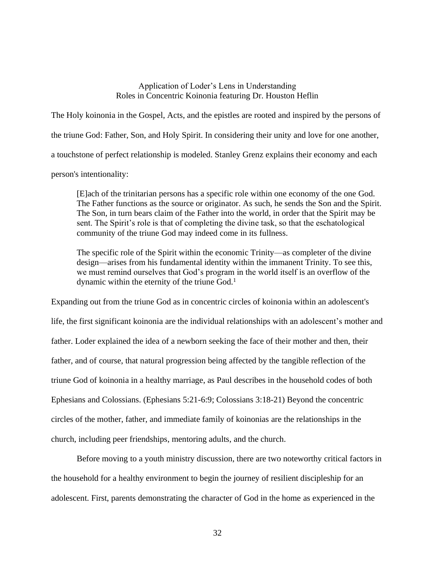Application of Loder's Lens in Understanding Roles in Concentric Koinonia featuring Dr. Houston Heflin

The Holy koinonia in the Gospel, Acts, and the epistles are rooted and inspired by the persons of the triune God: Father, Son, and Holy Spirit. In considering their unity and love for one another, a touchstone of perfect relationship is modeled. Stanley Grenz explains their economy and each person's intentionality:

[E]ach of the trinitarian persons has a specific role within one economy of the one God. The Father functions as the source or originator. As such, he sends the Son and the Spirit. The Son, in turn bears claim of the Father into the world, in order that the Spirit may be sent. The Spirit's role is that of completing the divine task, so that the eschatological community of the triune God may indeed come in its fullness.

The specific role of the Spirit within the economic Trinity—as completer of the divine design—arises from his fundamental identity within the immanent Trinity. To see this, we must remind ourselves that God's program in the world itself is an overflow of the dynamic within the eternity of the triune God.<sup>1</sup>

Expanding out from the triune God as in concentric circles of koinonia within an adolescent's life, the first significant koinonia are the individual relationships with an adolescent's mother and father. Loder explained the idea of a newborn seeking the face of their mother and then, their father, and of course, that natural progression being affected by the tangible reflection of the triune God of koinonia in a healthy marriage, as Paul describes in the household codes of both Ephesians and Colossians. (Ephesians 5:21-6:9; Colossians 3:18-21) Beyond the concentric circles of the mother, father, and immediate family of koinonias are the relationships in the church, including peer friendships, mentoring adults, and the church.

Before moving to a youth ministry discussion, there are two noteworthy critical factors in the household for a healthy environment to begin the journey of resilient discipleship for an adolescent. First, parents demonstrating the character of God in the home as experienced in the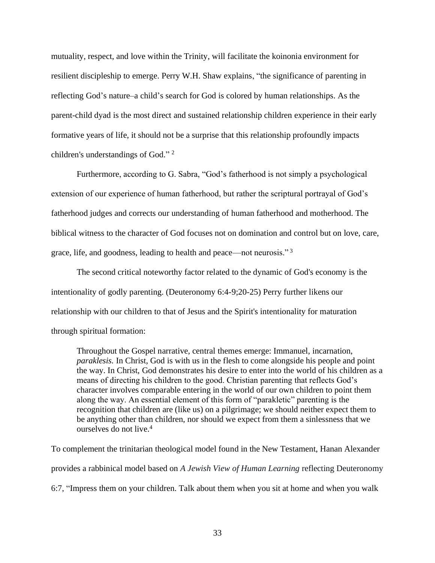mutuality, respect, and love within the Trinity, will facilitate the koinonia environment for resilient discipleship to emerge. Perry W.H. Shaw explains, "the significance of parenting in reflecting God's nature–a child's search for God is colored by human relationships. As the parent-child dyad is the most direct and sustained relationship children experience in their early formative years of life, it should not be a surprise that this relationship profoundly impacts children's understandings of God." <sup>2</sup>

Furthermore, according to G. Sabra, "God's fatherhood is not simply a psychological extension of our experience of human fatherhood, but rather the scriptural portrayal of God's fatherhood judges and corrects our understanding of human fatherhood and motherhood. The biblical witness to the character of God focuses not on domination and control but on love, care, grace, life, and goodness, leading to health and peace—not neurosis." <sup>3</sup>

The second critical noteworthy factor related to the dynamic of God's economy is the intentionality of godly parenting. (Deuteronomy 6:4-9;20-25) Perry further likens our relationship with our children to that of Jesus and the Spirit's intentionality for maturation through spiritual formation:

Throughout the Gospel narrative, central themes emerge: Immanuel, incarnation, *paraklesis.* In Christ, God is with us in the flesh to come alongside his people and point the way. In Christ, God demonstrates his desire to enter into the world of his children as a means of directing his children to the good. Christian parenting that reflects God's character involves comparable entering in the world of our own children to point them along the way. An essential element of this form of "parakletic" parenting is the recognition that children are (like us) on a pilgrimage; we should neither expect them to be anything other than children, nor should we expect from them a sinlessness that we ourselves do not live.<sup>4</sup>

To complement the trinitarian theological model found in the New Testament, Hanan Alexander provides a rabbinical model based on *A Jewish View of Human Learning* reflecting Deuteronomy 6:7, "Impress them on your children. Talk about them when you sit at home and when you walk

33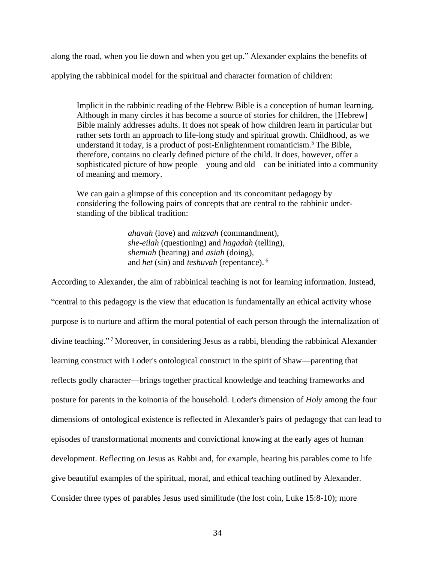along the road, when you lie down and when you get up." Alexander explains the benefits of

applying the rabbinical model for the spiritual and character formation of children:

Implicit in the rabbinic reading of the Hebrew Bible is a conception of human learning. Although in many circles it has become a source of stories for children, the [Hebrew] Bible mainly addresses adults. It does not speak of how children learn in particular but rather sets forth an approach to life-long study and spiritual growth. Childhood, as we understand it today, is a product of post-Enlightenment romanticism.<sup>5</sup> The Bible, therefore, contains no clearly defined picture of the child. It does, however, offer a sophisticated picture of how people—young and old—can be initiated into a community of meaning and memory.

We can gain a glimpse of this conception and its concomitant pedagogy by considering the following pairs of concepts that are central to the rabbinic understanding of the biblical tradition:

> *ahavah* (love) and *mitzvah* (commandment), *she-eilah* (questioning) and *hagadah* (telling), *shemiah* (hearing) and *asiah* (doing), and *het* (sin) and *teshuvah* (repentance). <sup>6</sup>

According to Alexander, the aim of rabbinical teaching is not for learning information. Instead, "central to this pedagogy is the view that education is fundamentally an ethical activity whose purpose is to nurture and affirm the moral potential of each person through the internalization of divine teaching." <sup>7</sup>Moreover, in considering Jesus as a rabbi, blending the rabbinical Alexander learning construct with Loder's ontological construct in the spirit of Shaw—parenting that reflects godly character—brings together practical knowledge and teaching frameworks and posture for parents in the koinonia of the household. Loder's dimension of *Holy* among the four dimensions of ontological existence is reflected in Alexander's pairs of pedagogy that can lead to episodes of transformational moments and convictional knowing at the early ages of human development. Reflecting on Jesus as Rabbi and, for example, hearing his parables come to life give beautiful examples of the spiritual, moral, and ethical teaching outlined by Alexander. Consider three types of parables Jesus used similitude (the lost coin, Luke 15:8-10); more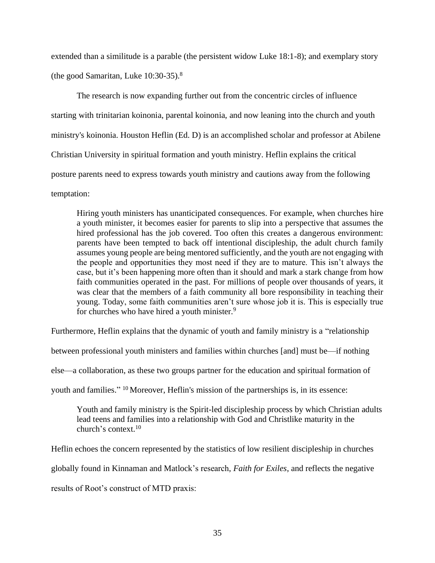extended than a similitude is a parable (the persistent widow Luke 18:1-8); and exemplary story (the good Samaritan, Luke 10:30-35).<sup>8</sup>

The research is now expanding further out from the concentric circles of influence starting with trinitarian koinonia, parental koinonia, and now leaning into the church and youth ministry's koinonia. Houston Heflin (Ed. D) is an accomplished scholar and professor at Abilene Christian University in spiritual formation and youth ministry. Heflin explains the critical posture parents need to express towards youth ministry and cautions away from the following temptation:

Hiring youth ministers has unanticipated consequences. For example, when churches hire a youth minister, it becomes easier for parents to slip into a perspective that assumes the hired professional has the job covered. Too often this creates a dangerous environment: parents have been tempted to back off intentional discipleship, the adult church family assumes young people are being mentored sufficiently, and the youth are not engaging with the people and opportunities they most need if they are to mature. This isn't always the case, but it's been happening more often than it should and mark a stark change from how faith communities operated in the past. For millions of people over thousands of years, it was clear that the members of a faith community all bore responsibility in teaching their young. Today, some faith communities aren't sure whose job it is. This is especially true for churches who have hired a youth minister.<sup>9</sup>

Furthermore, Heflin explains that the dynamic of youth and family ministry is a "relationship

between professional youth ministers and families within churches [and] must be—if nothing

else—a collaboration, as these two groups partner for the education and spiritual formation of

youth and families." <sup>10</sup> Moreover, Heflin's mission of the partnerships is, in its essence:

Youth and family ministry is the Spirit-led discipleship process by which Christian adults lead teens and families into a relationship with God and Christlike maturity in the church's context.<sup>10</sup>

Heflin echoes the concern represented by the statistics of low resilient discipleship in churches globally found in Kinnaman and Matlock's research, *Faith for Exiles*, and reflects the negative results of Root's construct of MTD praxis: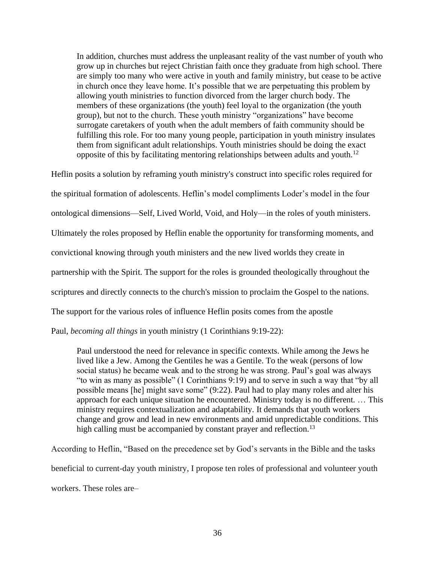In addition, churches must address the unpleasant reality of the vast number of youth who grow up in churches but reject Christian faith once they graduate from high school. There are simply too many who were active in youth and family ministry, but cease to be active in church once they leave home. It's possible that we are perpetuating this problem by allowing youth ministries to function divorced from the larger church body. The members of these organizations (the youth) feel loyal to the organization (the youth group), but not to the church. These youth ministry "organizations" have become surrogate caretakers of youth when the adult members of faith community should be fulfilling this role. For too many young people, participation in youth ministry insulates them from significant adult relationships. Youth ministries should be doing the exact opposite of this by facilitating mentoring relationships between adults and youth.<sup>12</sup>

Heflin posits a solution by reframing youth ministry's construct into specific roles required for the spiritual formation of adolescents. Heflin's model compliments Loder's model in the four ontological dimensions—Self, Lived World, Void, and Holy—in the roles of youth ministers. Ultimately the roles proposed by Heflin enable the opportunity for transforming moments, and convictional knowing through youth ministers and the new lived worlds they create in partnership with the Spirit. The support for the roles is grounded theologically throughout the scriptures and directly connects to the church's mission to proclaim the Gospel to the nations. The support for the various roles of influence Heflin posits comes from the apostle

Paul, *becoming all things* in youth ministry (1 Corinthians 9:19-22):

Paul understood the need for relevance in specific contexts. While among the Jews he lived like a Jew. Among the Gentiles he was a Gentile. To the weak (persons of low social status) he became weak and to the strong he was strong. Paul's goal was always "to win as many as possible" (1 Corinthians 9:19) and to serve in such a way that "by all possible means [he] might save some" (9:22). Paul had to play many roles and alter his approach for each unique situation he encountered. Ministry today is no different. … This ministry requires contextualization and adaptability. It demands that youth workers change and grow and lead in new environments and amid unpredictable conditions. This high calling must be accompanied by constant prayer and reflection.<sup>13</sup>

According to Heflin, "Based on the precedence set by God's servants in the Bible and the tasks beneficial to current-day youth ministry, I propose ten roles of professional and volunteer youth workers. These roles are–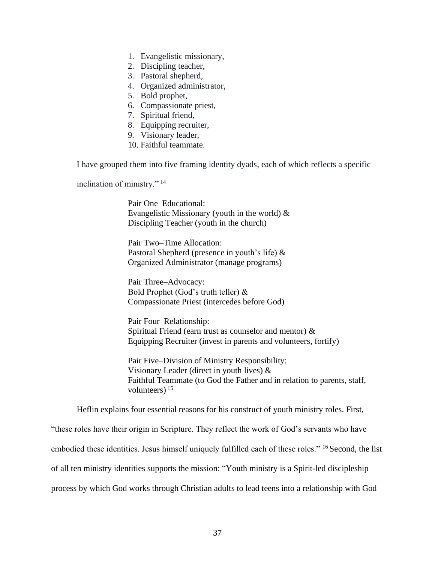- 1. Evangelistic missionary,
- 2. Discipling teacher,
- 3. Pastoral shepherd,
- 4. Organized administrator,
- 5. Bold prophet,
- 6. Compassionate priest,
- 7. Spiritual friend,
- 8. Equipping recruiter,
- 9. Visionary leader,
- 10. Faithful teammate.

I have grouped them into five framing identity dyads, each of which reflects a specific

inclination of ministry."<sup>14</sup>

Pair One–Educational: Evangelistic Missionary (youth in the world) & Discipling Teacher (youth in the church)

Pair Two–Time Allocation: Pastoral Shepherd (presence in youth's life) & Organized Administrator (manage programs)

Pair Three–Advocacy: Bold Prophet (God's truth teller) & Compassionate Priest (intercedes before God)

Pair Four–Relationship: Spiritual Friend (earn trust as counselor and mentor) & Equipping Recruiter (invest in parents and volunteers, fortify)

Pair Five–Division of Ministry Responsibility: Visionary Leader (direct in youth lives) & Faithful Teammate (to God the Father and in relation to parents, staff, volunteers) 15

Heflin explains four essential reasons for his construct of youth ministry roles. First,

"these roles have their origin in Scripture. They reflect the work of God's servants who have embodied these identities. Jesus himself uniquely fulfilled each of these roles." <sup>16</sup> Second, the list of all ten ministry identities supports the mission: "Youth ministry is a Spirit-led discipleship process by which God works through Christian adults to lead teens into a relationship with God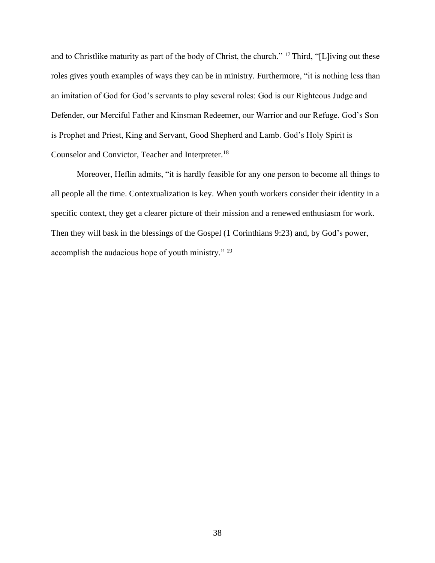and to Christlike maturity as part of the body of Christ, the church." <sup>17</sup> Third, "[L]iving out these roles gives youth examples of ways they can be in ministry. Furthermore, "it is nothing less than an imitation of God for God's servants to play several roles: God is our Righteous Judge and Defender, our Merciful Father and Kinsman Redeemer, our Warrior and our Refuge. God's Son is Prophet and Priest, King and Servant, Good Shepherd and Lamb. God's Holy Spirit is Counselor and Convictor, Teacher and Interpreter.<sup>18</sup>

Moreover, Heflin admits, "it is hardly feasible for any one person to become all things to all people all the time. Contextualization is key. When youth workers consider their identity in a specific context, they get a clearer picture of their mission and a renewed enthusiasm for work. Then they will bask in the blessings of the Gospel (1 Corinthians 9:23) and, by God's power, accomplish the audacious hope of youth ministry." <sup>19</sup>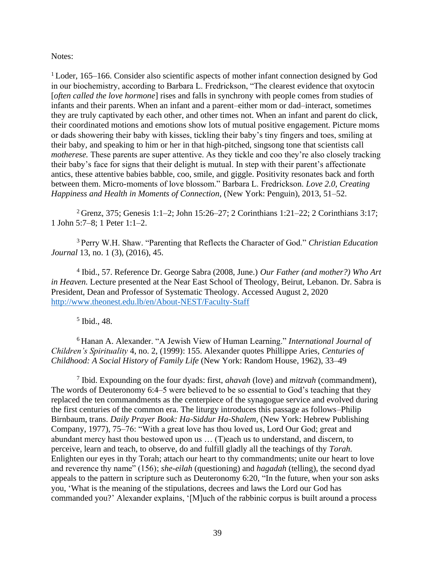Notes:

<sup>1</sup> Loder, 165–166. Consider also scientific aspects of mother infant connection designed by God in our biochemistry, according to Barbara L. Fredrickson, "The clearest evidence that oxytocin [*often called the love hormone*] rises and falls in synchrony with people comes from studies of infants and their parents. When an infant and a parent–either mom or dad–interact, sometimes they are truly captivated by each other, and other times not. When an infant and parent do click, their coordinated motions and emotions show lots of mutual positive engagement. Picture moms or dads showering their baby with kisses, tickling their baby's tiny fingers and toes, smiling at their baby, and speaking to him or her in that high-pitched, singsong tone that scientists call *motherese.* These parents are super attentive. As they tickle and coo they're also closely tracking their baby's face for signs that their delight is mutual. In step with their parent's affectionate antics, these attentive babies babble, coo, smile, and giggle. Positivity resonates back and forth between them. Micro-moments of love blossom." Barbara L. Fredrickson. *Love 2.0, Creating Happiness and Health in Moments of Connection*, (New York: Penguin), 2013, 51–52.

<sup>2</sup> Grenz, 375; Genesis 1:1–2; John 15:26–27; 2 Corinthians 1:21–22; 2 Corinthians 3:17; 1 John 5:7–8; 1 Peter 1:1–2.

<sup>3</sup> Perry W.H. Shaw. "Parenting that Reflects the Character of God." *Christian Education Journal* 13, no. 1 (3), (2016), 45.

4 Ibid., 57. Reference Dr. George Sabra (2008, June.) *Our Father (and mother?) Who Art in Heaven.* Lecture presented at the Near East School of Theology, Beirut, Lebanon. Dr. Sabra is President, Dean and Professor of Systematic Theology. Accessed August 2, 2020 <http://www.theonest.edu.lb/en/About-NEST/Faculty-Staff>

5 Ibid., 48.

<sup>6</sup>Hanan A. Alexander. "A Jewish View of Human Learning." *International Journal of Children's Spirituality* 4, no. 2, (1999): 155. Alexander quotes Phillippe Aries, *Centuries of Childhood: A Social History of Family Life* (New York: Random House, 1962), 33–49

7 Ibid. Expounding on the four dyads: first, *ahavah* (love) and *mitzvah* (commandment), The words of Deuteronomy 6:4–5 were believed to be so essential to God's teaching that they replaced the ten commandments as the centerpiece of the synagogue service and evolved during the first centuries of the common era. The liturgy introduces this passage as follows–Philip Birnbaum, trans. *Daily Prayer Book: Ha-Siddur Ha-Shalem*, (New York: Hebrew Publishing Company, 1977), 75–76: "With a great love has thou loved us, Lord Our God; great and abundant mercy hast thou bestowed upon us … (T)each us to understand, and discern, to perceive, learn and teach, to observe, do and fulfill gladly all the teachings of thy *Torah.* Enlighten our eyes in thy Torah; attach our heart to thy commandments; unite our heart to love and reverence thy name" (156); *she-eilah* (questioning) and *hagadah* (telling), the second dyad appeals to the pattern in scripture such as Deuteronomy 6:20, "In the future, when your son asks you, 'What is the meaning of the stipulations, decrees and laws the Lord our God has commanded you?' Alexander explains, '[M]uch of the rabbinic corpus is built around a process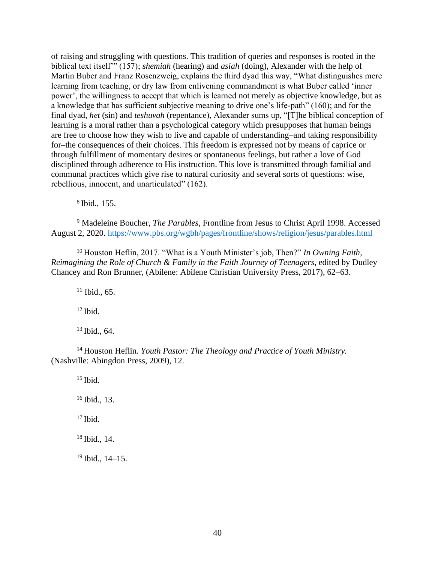of raising and struggling with questions. This tradition of queries and responses is rooted in the biblical text itself'" (157); *shemiah* (hearing) and *asiah* (doing), Alexander with the help of Martin Buber and Franz Rosenzweig, explains the third dyad this way, "What distinguishes mere learning from teaching, or dry law from enlivening commandment is what Buber called 'inner power', the willingness to accept that which is learned not merely as objective knowledge, but as a knowledge that has sufficient subjective meaning to drive one's life-path" (160); and for the final dyad, *het* (sin) and *teshuvah* (repentance), Alexander sums up, "[T]he biblical conception of learning is a moral rather than a psychological category which presupposes that human beings are free to choose how they wish to live and capable of understanding–and taking responsibility for–the consequences of their choices. This freedom is expressed not by means of caprice or through fulfillment of momentary desires or spontaneous feelings, but rather a love of God disciplined through adherence to His instruction. This love is transmitted through familial and communal practices which give rise to natural curiosity and several sorts of questions: wise, rebellious, innocent, and unarticulated" (162).

<sup>8</sup>Ibid., 155.

<sup>9</sup> Madeleine Boucher, *The Parables,* Frontline from Jesus to Christ April 1998. Accessed August 2, 2020.<https://www.pbs.org/wgbh/pages/frontline/shows/religion/jesus/parables.html>

<sup>10</sup> Houston Heflin, 2017. "What is a Youth Minister's job, Then?" *In Owning Faith*, *Reimagining the Role of Church & Family in the Faith Journey of Teenagers*, edited by Dudley Chancey and Ron Brunner, (Abilene: Abilene Christian University Press, 2017), 62–63.

 $11$  Ibid., 65.

 $12$  Ibid.

<sup>13</sup> Ibid., 64.

<sup>14</sup>Houston Heflin. *Youth Pastor: The Theology and Practice of Youth Ministry.*  (Nashville: Abingdon Press, 2009), 12.

 $15$  Ibid.  $16$  Ibid., 13.  $17$  Ibid.  $18$  Ibid., 14. 19 Ibid., 14–15.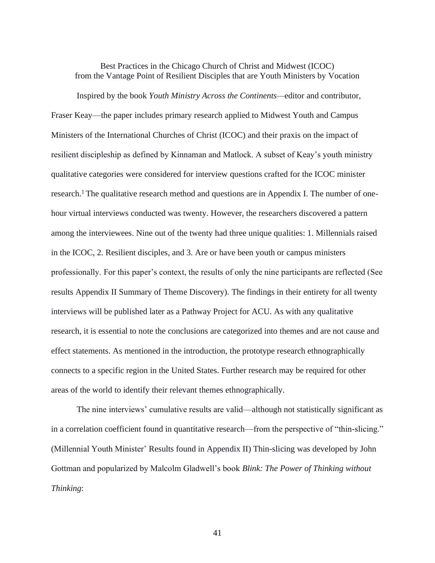Best Practices in the Chicago Church of Christ and Midwest (ICOC) from the Vantage Point of Resilient Disciples that are Youth Ministers by Vocation

Inspired by the book *Youth Ministry Across the Continents—*editor and contributor, Fraser Keay—the paper includes primary research applied to Midwest Youth and Campus Ministers of the International Churches of Christ (ICOC) and their praxis on the impact of resilient discipleship as defined by Kinnaman and Matlock. A subset of Keay's youth ministry qualitative categories were considered for interview questions crafted for the ICOC minister research.<sup>1</sup> The qualitative research method and questions are in Appendix I. The number of onehour virtual interviews conducted was twenty. However, the researchers discovered a pattern among the interviewees. Nine out of the twenty had three unique qualities: 1. Millennials raised in the ICOC, 2. Resilient disciples, and 3. Are or have been youth or campus ministers professionally. For this paper's context, the results of only the nine participants are reflected (See results Appendix II Summary of Theme Discovery). The findings in their entirety for all twenty interviews will be published later as a Pathway Project for ACU. As with any qualitative research, it is essential to note the conclusions are categorized into themes and are not cause and effect statements. As mentioned in the introduction, the prototype research ethnographically connects to a specific region in the United States. Further research may be required for other areas of the world to identify their relevant themes ethnographically.

The nine interviews' cumulative results are valid—although not statistically significant as in a correlation coefficient found in quantitative research—from the perspective of "thin-slicing." (Millennial Youth Minister' Results found in Appendix II) Thin-slicing was developed by John Gottman and popularized by Malcolm Gladwell's book *Blink: The Power of Thinking without Thinking*:

41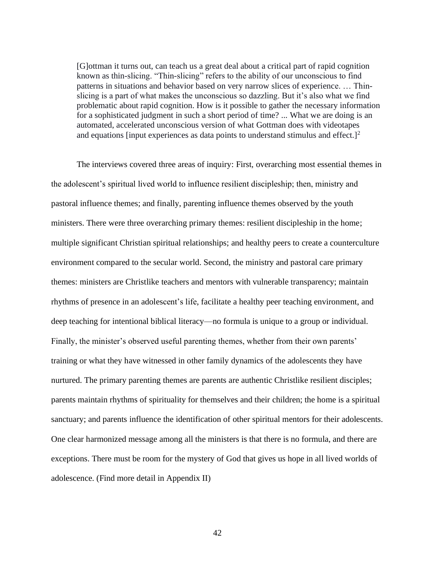[G]ottman it turns out, can teach us a great deal about a critical part of rapid cognition known as thin-slicing. "Thin-slicing" refers to the ability of our unconscious to find patterns in situations and behavior based on very narrow slices of experience. … Thinslicing is a part of what makes the unconscious so dazzling. But it's also what we find problematic about rapid cognition. How is it possible to gather the necessary information for a sophisticated judgment in such a short period of time? ... What we are doing is an automated, accelerated unconscious version of what Gottman does with videotapes and equations [input experiences as data points to understand stimulus and effect.] $2$ 

The interviews covered three areas of inquiry: First, overarching most essential themes in the adolescent's spiritual lived world to influence resilient discipleship; then, ministry and pastoral influence themes; and finally, parenting influence themes observed by the youth ministers. There were three overarching primary themes: resilient discipleship in the home; multiple significant Christian spiritual relationships; and healthy peers to create a counterculture environment compared to the secular world. Second, the ministry and pastoral care primary themes: ministers are Christlike teachers and mentors with vulnerable transparency; maintain rhythms of presence in an adolescent's life, facilitate a healthy peer teaching environment, and deep teaching for intentional biblical literacy—no formula is unique to a group or individual. Finally, the minister's observed useful parenting themes, whether from their own parents' training or what they have witnessed in other family dynamics of the adolescents they have nurtured. The primary parenting themes are parents are authentic Christlike resilient disciples; parents maintain rhythms of spirituality for themselves and their children; the home is a spiritual sanctuary; and parents influence the identification of other spiritual mentors for their adolescents. One clear harmonized message among all the ministers is that there is no formula, and there are exceptions. There must be room for the mystery of God that gives us hope in all lived worlds of adolescence. (Find more detail in Appendix II)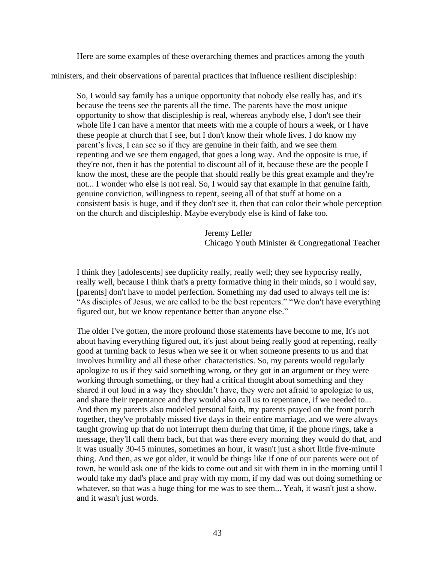Here are some examples of these overarching themes and practices among the youth

ministers, and their observations of parental practices that influence resilient discipleship:

So, I would say family has a unique opportunity that nobody else really has, and it's because the teens see the parents all the time. The parents have the most unique opportunity to show that discipleship is real, whereas anybody else, I don't see their whole life I can have a mentor that meets with me a couple of hours a week, or I have these people at church that I see, but I don't know their whole lives. I do know my parent's lives, I can see so if they are genuine in their faith, and we see them repenting and we see them engaged, that goes a long way. And the opposite is true, if they're not, then it has the potential to discount all of it, because these are the people I know the most, these are the people that should really be this great example and they're not... I wonder who else is not real. So, I would say that example in that genuine faith, genuine conviction, willingness to repent, seeing all of that stuff at home on a consistent basis is huge, and if they don't see it, then that can color their whole perception on the church and discipleship. Maybe everybody else is kind of fake too.

> Jeremy Lefler Chicago Youth Minister & Congregational Teacher

I think they [adolescents] see duplicity really, really well; they see hypocrisy really, really well, because I think that's a pretty formative thing in their minds, so I would say, [parents] don't have to model perfection. Something my dad used to always tell me is: "As disciples of Jesus, we are called to be the best repenters." "We don't have everything figured out, but we know repentance better than anyone else."

The older I've gotten, the more profound those statements have become to me, It's not about having everything figured out, it's just about being really good at repenting, really good at turning back to Jesus when we see it or when someone presents to us and that involves humility and all these other characteristics. So, my parents would regularly apologize to us if they said something wrong, or they got in an argument or they were working through something, or they had a critical thought about something and they shared it out loud in a way they shouldn't have, they were not afraid to apologize to us, and share their repentance and they would also call us to repentance, if we needed to... And then my parents also modeled personal faith, my parents prayed on the front porch together, they've probably missed five days in their entire marriage, and we were always taught growing up that do not interrupt them during that time, if the phone rings, take a message, they'll call them back, but that was there every morning they would do that, and it was usually 30-45 minutes, sometimes an hour, it wasn't just a short little five-minute thing. And then, as we got older, it would be things like if one of our parents were out of town, he would ask one of the kids to come out and sit with them in in the morning until I would take my dad's place and pray with my mom, if my dad was out doing something or whatever, so that was a huge thing for me was to see them... Yeah, it wasn't just a show. and it wasn't just words.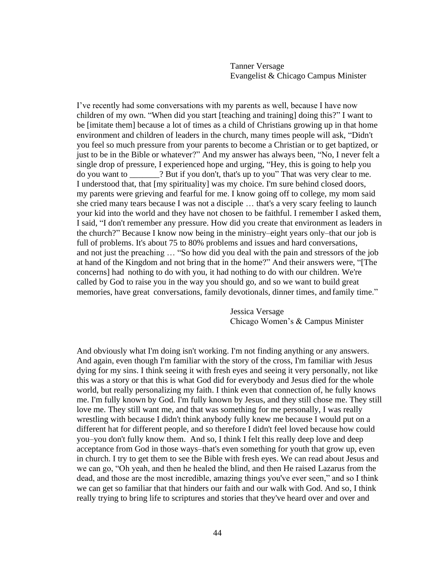Tanner Versage Evangelist & Chicago Campus Minister

I've recently had some conversations with my parents as well, because I have now children of my own. "When did you start [teaching and training] doing this?" I want to be [imitate them] because a lot of times as a child of Christians growing up in that home environment and children of leaders in the church, many times people will ask, "Didn't you feel so much pressure from your parents to become a Christian or to get baptized, or just to be in the Bible or whatever?" And my answer has always been, "No, I never felt a single drop of pressure, I experienced hope and urging, "Hey, this is going to help you do you want to \_\_\_\_\_\_\_? But if you don't, that's up to you" That was very clear to me. I understood that, that [my spirituality] was my choice. I'm sure behind closed doors, my parents were grieving and fearful for me. I know going off to college, my mom said she cried many tears because I was not a disciple … that's a very scary feeling to launch your kid into the world and they have not chosen to be faithful. I remember I asked them, I said, "I don't remember any pressure. How did you create that environment as leaders in the church?" Because I know now being in the ministry–eight years only–that our job is full of problems. It's about 75 to 80% problems and issues and hard conversations, and not just the preaching … "So how did you deal with the pain and stressors of the job at hand of the Kingdom and not bring that in the home?" And their answers were, "[The concerns] had nothing to do with you, it had nothing to do with our children. We're called by God to raise you in the way you should go, and so we want to build great memories, have great conversations, family devotionals, dinner times, and family time."

> Jessica Versage Chicago Women's & Campus Minister

And obviously what I'm doing isn't working. I'm not finding anything or any answers. And again, even though I'm familiar with the story of the cross, I'm familiar with Jesus dying for my sins. I think seeing it with fresh eyes and seeing it very personally, not like this was a story or that this is what God did for everybody and Jesus died for the whole world, but really personalizing my faith. I think even that connection of, he fully knows me. I'm fully known by God. I'm fully known by Jesus, and they still chose me. They still love me. They still want me, and that was something for me personally, I was really wrestling with because I didn't think anybody fully knew me because I would put on a different hat for different people, and so therefore I didn't feel loved because how could you–you don't fully know them. And so, I think I felt this really deep love and deep acceptance from God in those ways–that's even something for youth that grow up, even in church. I try to get them to see the Bible with fresh eyes. We can read about Jesus and we can go, "Oh yeah, and then he healed the blind, and then He raised Lazarus from the dead, and those are the most incredible, amazing things you've ever seen," and so I think we can get so familiar that that hinders our faith and our walk with God. And so, I think really trying to bring life to scriptures and stories that they've heard over and over and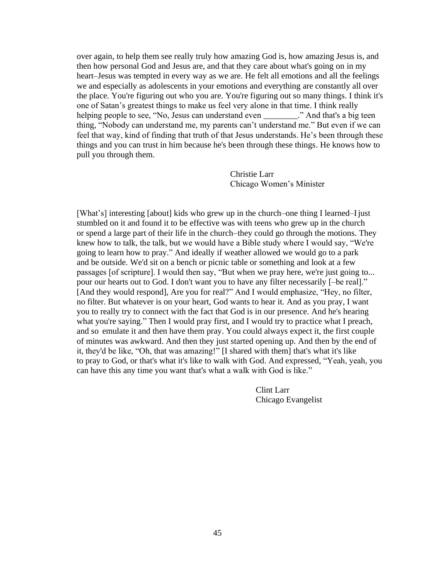over again, to help them see really truly how amazing God is, how amazing Jesus is, and then how personal God and Jesus are, and that they care about what's going on in my heart–Jesus was tempted in every way as we are. He felt all emotions and all the feelings we and especially as adolescents in your emotions and everything are constantly all over the place. You're figuring out who you are. You're figuring out so many things. I think it's one of Satan's greatest things to make us feel very alone in that time. I think really helping people to see, "No, Jesus can understand even \_\_\_\_\_\_\_\_." And that's a big teen thing, "Nobody can understand me, my parents can't understand me." But even if we can feel that way, kind of finding that truth of that Jesus understands. He's been through these things and you can trust in him because he's been through these things. He knows how to pull you through them.

> Christie Larr Chicago Women's Minister

[What's] interesting [about] kids who grew up in the church–one thing I learned–I just stumbled on it and found it to be effective was with teens who grew up in the church or spend a large part of their life in the church–they could go through the motions. They knew how to talk, the talk, but we would have a Bible study where I would say, "We're going to learn how to pray." And ideally if weather allowed we would go to a park and be outside. We'd sit on a bench or picnic table or something and look at a few passages [of scripture]. I would then say, "But when we pray here, we're just going to... pour our hearts out to God. I don't want you to have any filter necessarily [–be real]." [And they would respond], Are you for real?" And I would emphasize, "Hey, no filter, no filter. But whatever is on your heart, God wants to hear it. And as you pray, I want you to really try to connect with the fact that God is in our presence. And he's hearing what you're saying." Then I would pray first, and I would try to practice what I preach, and so emulate it and then have them pray. You could always expect it, the first couple of minutes was awkward. And then they just started opening up. And then by the end of it, they'd be like, "Oh, that was amazing!" [I shared with them] that's what it's like to pray to God, or that's what it's like to walk with God. And expressed, "Yeah, yeah, you can have this any time you want that's what a walk with God is like."

> Clint Larr Chicago Evangelist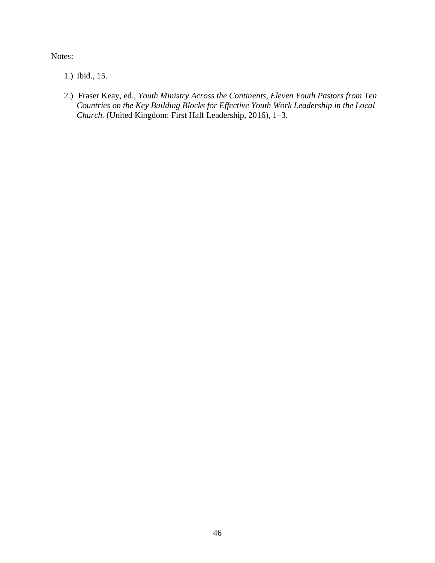Notes:

- 1.) Ibid., 15.
- 2.) Fraser Keay, ed., *Youth Ministry Across the Continents, Eleven Youth Pastors from Ten Countries on the Key Building Blocks for Effective Youth Work Leadership in the Local Church.* (United Kingdom: First Half Leadership, 2016), 1–3.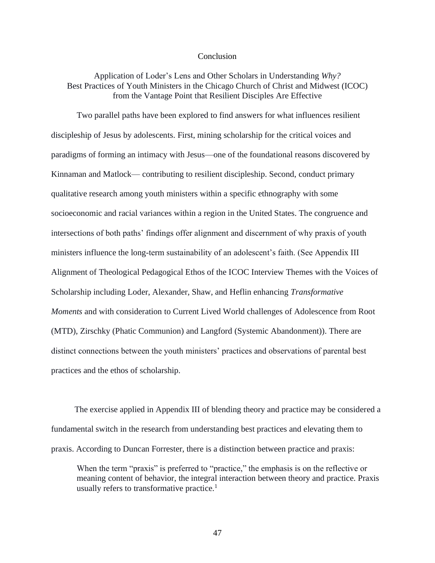#### **Conclusion**

Application of Loder's Lens and Other Scholars in Understanding *Why?* Best Practices of Youth Ministers in the Chicago Church of Christ and Midwest (ICOC) from the Vantage Point that Resilient Disciples Are Effective

Two parallel paths have been explored to find answers for what influences resilient discipleship of Jesus by adolescents. First, mining scholarship for the critical voices and paradigms of forming an intimacy with Jesus—one of the foundational reasons discovered by Kinnaman and Matlock— contributing to resilient discipleship. Second, conduct primary qualitative research among youth ministers within a specific ethnography with some socioeconomic and racial variances within a region in the United States. The congruence and intersections of both paths' findings offer alignment and discernment of why praxis of youth ministers influence the long-term sustainability of an adolescent's faith. (See Appendix III Alignment of Theological Pedagogical Ethos of the ICOC Interview Themes with the Voices of Scholarship including Loder, Alexander, Shaw, and Heflin enhancing *Transformative Moments* and with consideration to Current Lived World challenges of Adolescence from Root (MTD), Zirschky (Phatic Communion) and Langford (Systemic Abandonment)). There are distinct connections between the youth ministers' practices and observations of parental best practices and the ethos of scholarship.

The exercise applied in Appendix III of blending theory and practice may be considered a fundamental switch in the research from understanding best practices and elevating them to praxis. According to Duncan Forrester, there is a distinction between practice and praxis:

When the term "praxis" is preferred to "practice," the emphasis is on the reflective or meaning content of behavior, the integral interaction between theory and practice. Praxis usually refers to transformative practice.<sup>1</sup>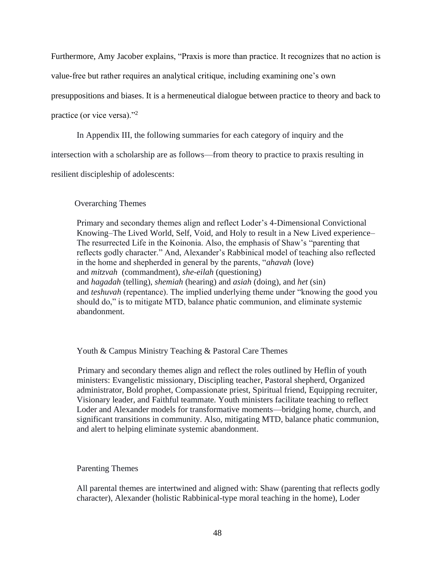Furthermore, Amy Jacober explains, "Praxis is more than practice. It recognizes that no action is

value-free but rather requires an analytical critique, including examining one's own

presuppositions and biases. It is a hermeneutical dialogue between practice to theory and back to

practice (or vice versa)."<sup>2</sup>

In Appendix III, the following summaries for each category of inquiry and the

intersection with a scholarship are as follows—from theory to practice to praxis resulting in

resilient discipleship of adolescents:

# Overarching Themes

Primary and secondary themes align and reflect Loder's 4-Dimensional Convictional Knowing–The Lived World, Self, Void, and Holy to result in a New Lived experience– The resurrected Life in the Koinonia. Also, the emphasis of Shaw's "parenting that reflects godly character." And, Alexander's Rabbinical model of teaching also reflected in the home and shepherded in general by the parents, "*ahavah* (love) and *mitzvah* (commandment), *she-eilah* (questioning) and *hagadah* (telling), *shemiah* (hearing) and *asiah* (doing), and *het* (sin) and *teshuvah* (repentance). The implied underlying theme under "knowing the good you should do," is to mitigate MTD, balance phatic communion, and eliminate systemic abandonment.

Youth & Campus Ministry Teaching & Pastoral Care Themes

Primary and secondary themes align and reflect the roles outlined by Heflin of youth ministers: Evangelistic missionary, Discipling teacher, Pastoral shepherd, Organized administrator, Bold prophet, Compassionate priest, Spiritual friend, Equipping recruiter, Visionary leader, and Faithful teammate. Youth ministers facilitate teaching to reflect Loder and Alexander models for transformative moments—bridging home, church, and significant transitions in community. Also, mitigating MTD, balance phatic communion, and alert to helping eliminate systemic abandonment.

### Parenting Themes

All parental themes are intertwined and aligned with: Shaw (parenting that reflects godly character), Alexander (holistic Rabbinical-type moral teaching in the home), Loder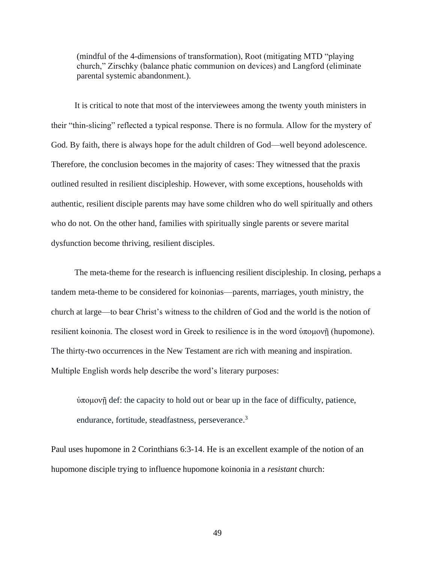(mindful of the 4-dimensions of transformation), Root (mitigating MTD "playing church," Zirschky (balance phatic communion on devices) and Langford (eliminate parental systemic abandonment.).

It is critical to note that most of the interviewees among the twenty youth ministers in their "thin-slicing" reflected a typical response. There is no formula. Allow for the mystery of God. By faith, there is always hope for the adult children of God—well beyond adolescence. Therefore, the conclusion becomes in the majority of cases: They witnessed that the praxis outlined resulted in resilient discipleship. However, with some exceptions, households with authentic, resilient disciple parents may have some children who do well spiritually and others who do not. On the other hand, families with spiritually single parents or severe marital dysfunction become thriving, resilient disciples.

 The meta-theme for the research is influencing resilient discipleship. In closing, perhaps a tandem meta-theme to be considered for koinonias—parents, marriages, youth ministry, the church at large—to bear Christ's witness to the children of God and the world is the notion of resilient koinonia. The closest word in Greek to resilience is in the word ὑπομονῇ (hupomone). The thirty-two occurrences in the New Testament are rich with meaning and inspiration. Multiple English words help describe the word's literary purposes:

ὑπομονῇ def: the capacity to hold out or bear up in the face of difficulty, patience, endurance, fortitude, steadfastness, perseverance.<sup>3</sup>

Paul uses hupomone in 2 Corinthians 6:3-14. He is an excellent example of the notion of an hupomone disciple trying to influence hupomone koinonia in a *resistant* church: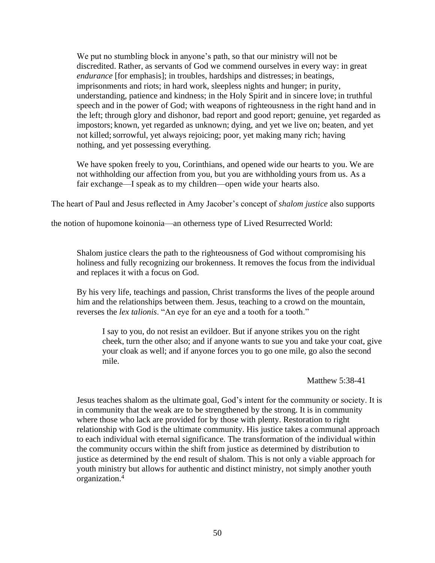We put no stumbling block in anyone's path, so that our ministry will not be discredited. Rather, as servants of God we commend ourselves in every way: in great *endurance* [for emphasis]; in troubles, hardships and distresses; in beatings, imprisonments and riots; in hard work, sleepless nights and hunger; in purity, understanding, patience and kindness; in the Holy Spirit and in sincere love; in truthful speech and in the power of God; with weapons of righteousness in the right hand and in the left; through glory and dishonor, bad report and good report; genuine, yet regarded as impostors; known, yet regarded as unknown; dying, and yet we live on; beaten, and yet not killed; sorrowful, yet always rejoicing; poor, yet making many rich; having nothing, and yet possessing everything.

We have spoken freely to you, Corinthians, and opened wide our hearts to you. We are not withholding our affection from you, but you are withholding yours from us. As a fair exchange—I speak as to my children—open wide your hearts also.

The heart of Paul and Jesus reflected in Amy Jacober's concept of *shalom justice* also supports

the notion of hupomone koinonia—an otherness type of Lived Resurrected World:

Shalom justice clears the path to the righteousness of God without compromising his holiness and fully recognizing our brokenness. It removes the focus from the individual and replaces it with a focus on God.

By his very life, teachings and passion, Christ transforms the lives of the people around him and the relationships between them. Jesus, teaching to a crowd on the mountain, reverses the *lex talionis*. "An eye for an eye and a tooth for a tooth."

I say to you, do not resist an evildoer. But if anyone strikes you on the right cheek, turn the other also; and if anyone wants to sue you and take your coat, give your cloak as well; and if anyone forces you to go one mile, go also the second mile.

### Matthew 5:38-41

Jesus teaches shalom as the ultimate goal, God's intent for the community or society. It is in community that the weak are to be strengthened by the strong. It is in community where those who lack are provided for by those with plenty. Restoration to right relationship with God is the ultimate community. His justice takes a communal approach to each individual with eternal significance. The transformation of the individual within the community occurs within the shift from justice as determined by distribution to justice as determined by the end result of shalom. This is not only a viable approach for youth ministry but allows for authentic and distinct ministry, not simply another youth organization.4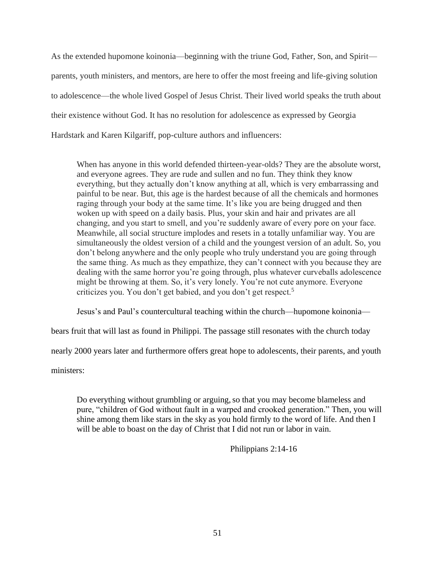As the extended hupomone koinonia—beginning with the triune God, Father, Son, and Spirit parents, youth ministers, and mentors, are here to offer the most freeing and life-giving solution to adolescence—the whole lived Gospel of Jesus Christ. Their lived world speaks the truth about their existence without God. It has no resolution for adolescence as expressed by Georgia Hardstark and Karen Kilgariff, pop-culture authors and influencers:

When has anyone in this world defended thirteen-year-olds? They are the absolute worst, and everyone agrees. They are rude and sullen and no fun. They think they know everything, but they actually don't know anything at all, which is very embarrassing and painful to be near. But, this age is the hardest because of all the chemicals and hormones raging through your body at the same time. It's like you are being drugged and then woken up with speed on a daily basis. Plus, your skin and hair and privates are all changing, and you start to smell, and you're suddenly aware of every pore on your face. Meanwhile, all social structure implodes and resets in a totally unfamiliar way. You are simultaneously the oldest version of a child and the youngest version of an adult. So, you don't belong anywhere and the only people who truly understand you are going through the same thing. As much as they empathize, they can't connect with you because they are dealing with the same horror you're going through, plus whatever curveballs adolescence might be throwing at them. So, it's very lonely. You're not cute anymore. Everyone criticizes you. You don't get babied, and you don't get respect.<sup>5</sup>

Jesus's and Paul's countercultural teaching within the church—hupomone koinonia—

bears fruit that will last as found in Philippi. The passage still resonates with the church today

nearly 2000 years later and furthermore offers great hope to adolescents, their parents, and youth

ministers:

Do everything without grumbling or arguing, so that you may become blameless and pure, "children of God without fault in a warped and crooked generation." Then, you will shine among them like stars in the sky as you hold firmly to the word of life. And then I will be able to boast on the day of Christ that I did not run or labor in vain.

Philippians 2:14-16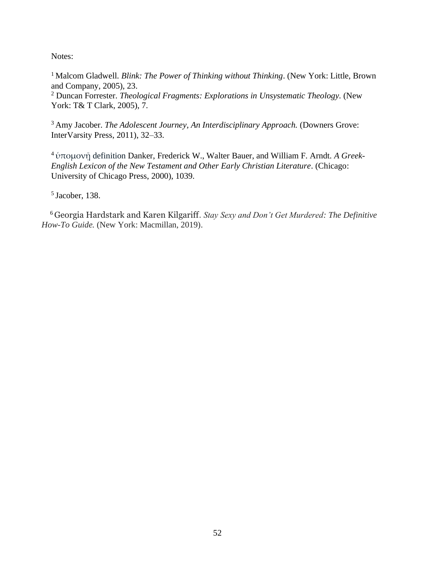Notes:

<sup>1</sup> Malcom Gladwell. *Blink: The Power of Thinking without Thinking*. (New York: Little, Brown and Company, 2005), 23.

<sup>2</sup> Duncan Forrester. *Theological Fragments: Explorations in Unsystematic Theology.* (New York: T& T Clark, 2005), 7.

<sup>3</sup> Amy Jacober. *The Adolescent Journey, An Interdisciplinary Approach.* (Downers Grove: InterVarsity Press, 2011), 32–33.

<sup>4</sup> ὑπομονῇ definition Danker, Frederick W., Walter Bauer, and William F. Arndt. *A Greek-English Lexicon of the New Testament and Other Early Christian Literature*. (Chicago: University of Chicago Press, 2000), 1039.

5 Jacober, 138.

<sup>6</sup>Georgia Hardstark and Karen Kilgariff. *Stay Sexy and Don't Get Murdered: The Definitive How-To Guide.* (New York: Macmillan, 2019).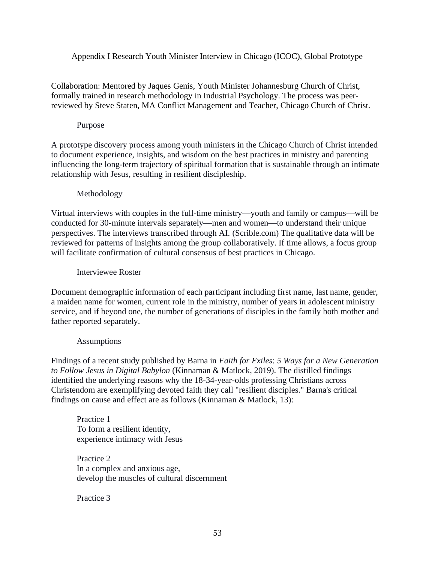Appendix I Research Youth Minister Interview in Chicago (ICOC), Global Prototype

Collaboration: Mentored by Jaques Genis, Youth Minister Johannesburg Church of Christ, formally trained in research methodology in Industrial Psychology. The process was peerreviewed by Steve Staten, MA Conflict Management and Teacher, Chicago Church of Christ.

## Purpose

A prototype discovery process among youth ministers in the Chicago Church of Christ intended to document experience, insights, and wisdom on the best practices in ministry and parenting influencing the long-term trajectory of spiritual formation that is sustainable through an intimate relationship with Jesus, resulting in resilient discipleship.

# Methodology

Virtual interviews with couples in the full-time ministry—youth and family or campus—will be conducted for 30-minute intervals separately—men and women—to understand their unique perspectives. The interviews transcribed through AI. (Scrible.com) The qualitative data will be reviewed for patterns of insights among the group collaboratively. If time allows, a focus group will facilitate confirmation of cultural consensus of best practices in Chicago.

### Interviewee Roster

Document demographic information of each participant including first name, last name, gender, a maiden name for women, current role in the ministry, number of years in adolescent ministry service, and if beyond one, the number of generations of disciples in the family both mother and father reported separately.

### Assumptions

Findings of a recent study published by Barna in *Faith for Exiles*: *5 Ways for a New Generation to Follow Jesus in Digital Babylon* (Kinnaman & Matlock, 2019). The distilled findings identified the underlying reasons why the 18-34-year-olds professing Christians across Christendom are exemplifying devoted faith they call "resilient disciples." Barna's critical findings on cause and effect are as follows (Kinnaman & Matlock, 13):

Practice 1 To form a resilient identity, experience intimacy with Jesus

Practice 2 In a complex and anxious age, develop the muscles of cultural discernment

Practice 3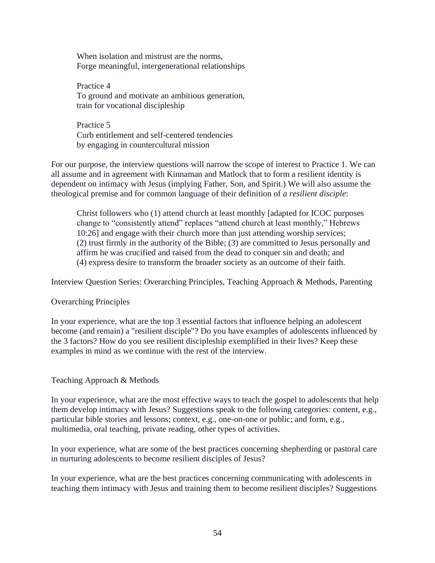When isolation and mistrust are the norms, Forge meaningful, intergenerational relationships

Practice 4 To ground and motivate an ambitious generation, train for vocational discipleship

Practice 5 Curb entitlement and self-centered tendencies by engaging in countercultural mission

For our purpose, the interview questions will narrow the scope of interest to Practice 1. We can all assume and in agreement with Kinnaman and Matlock that to form a resilient identity is dependent on intimacy with Jesus (implying Father, Son, and Spirit.) We will also assume the theological premise and for common language of their definition of *a resilient disciple*:

Christ followers who (1) attend church at least monthly [adapted for ICOC purposes change to "consistently attend" replaces "attend church at least monthly," Hebrews 10:26] and engage with their church more than just attending worship services; (2) trust firmly in the authority of the Bible; (3) are committed to Jesus personally and affirm he was crucified and raised from the dead to conquer sin and death; and (4) express desire to transform the broader society as an outcome of their faith.

Interview Question Series: Overarching Principles, Teaching Approach & Methods, Parenting

### Overarching Principles

In your experience, what are the top 3 essential factors that influence helping an adolescent become (and remain) a "resilient disciple"? Do you have examples of adolescents influenced by the 3 factors? How do you see resilient discipleship exemplified in their lives? Keep these examples in mind as we continue with the rest of the interview.

### Teaching Approach & Methods

In your experience, what are the most effective ways to teach the gospel to adolescents that help them develop intimacy with Jesus? Suggestions speak to the following categories: content, e.g., particular bible stories and lessons; context, e.g., one-on-one or public; and form, e.g., multimedia, oral teaching, private reading, other types of activities.

In your experience, what are some of the best practices concerning shepherding or pastoral care in nurturing adolescents to become resilient disciples of Jesus?

In your experience, what are the best practices concerning communicating with adolescents in teaching them intimacy with Jesus and training them to become resilient disciples? Suggestions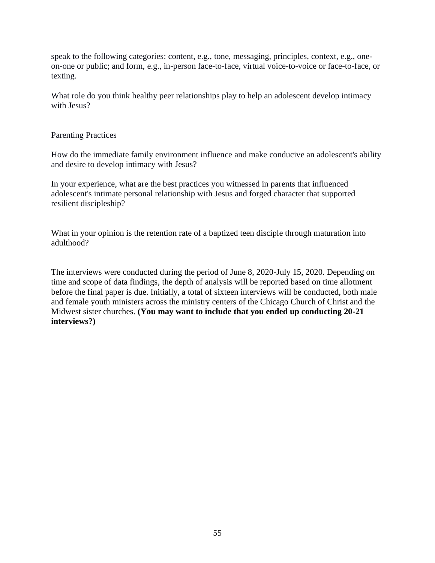speak to the following categories: content, e.g., tone, messaging, principles, context, e.g., oneon-one or public; and form, e.g., in-person face-to-face, virtual voice-to-voice or face-to-face, or texting.

What role do you think healthy peer relationships play to help an adolescent develop intimacy with Jesus?

#### Parenting Practices

How do the immediate family environment influence and make conducive an adolescent's ability and desire to develop intimacy with Jesus?

In your experience, what are the best practices you witnessed in parents that influenced adolescent's intimate personal relationship with Jesus and forged character that supported resilient discipleship?

What in your opinion is the retention rate of a baptized teen disciple through maturation into adulthood?

The interviews were conducted during the period of June 8, 2020-July 15, 2020. Depending on time and scope of data findings, the depth of analysis will be reported based on time allotment before the final paper is due. Initially, a total of sixteen interviews will be conducted, both male and female youth ministers across the ministry centers of the Chicago Church of Christ and the Midwest sister churches. **(You may want to include that you ended up conducting 20-21 interviews?)**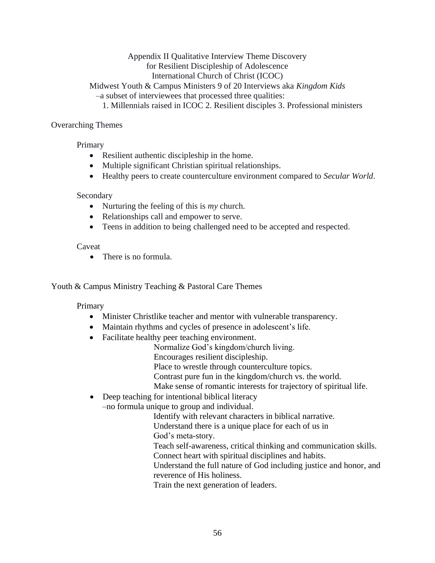Appendix II Qualitative Interview Theme Discovery for Resilient Discipleship of Adolescence

# International Church of Christ (ICOC)

Midwest Youth & Campus Ministers 9 of 20 Interviews aka *Kingdom Kids*

–a subset of interviewees that processed three qualities:

1. Millennials raised in ICOC 2. Resilient disciples 3. Professional ministers

## Overarching Themes

Primary

- Resilient authentic discipleship in the home.
- Multiple significant Christian spiritual relationships.
- Healthy peers to create counterculture environment compared to *Secular World*.

### **Secondary**

- Nurturing the feeling of this is *my* church.
- Relationships call and empower to serve.
- Teens in addition to being challenged need to be accepted and respected.

### Caveat

• There is no formula.

### Youth & Campus Ministry Teaching & Pastoral Care Themes

### Primary

- Minister Christlike teacher and mentor with vulnerable transparency.
- Maintain rhythms and cycles of presence in adolescent's life.
- Facilitate healthy peer teaching environment.
	- Normalize God's kingdom/church living.
		- Encourages resilient discipleship.
		- Place to wrestle through counterculture topics.
		- Contrast pure fun in the kingdom/church vs. the world.
	- Make sense of romantic interests for trajectory of spiritual life.
- Deep teaching for intentional biblical literacy
	- –no formula unique to group and individual.
		- Identify with relevant characters in biblical narrative.
		- Understand there is a unique place for each of us in
		- God's meta-story.
		- Teach self-awareness, critical thinking and communication skills. Connect heart with spiritual disciplines and habits.
		- Understand the full nature of God including justice and honor, and reverence of His holiness.
		- Train the next generation of leaders.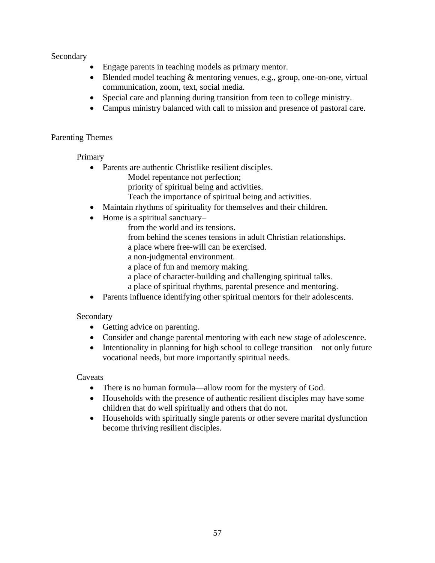# Secondary

- Engage parents in teaching models as primary mentor.
- Blended model teaching & mentoring venues, e.g., group, one-on-one, virtual communication, zoom, text, social media.
- Special care and planning during transition from teen to college ministry.
- Campus ministry balanced with call to mission and presence of pastoral care.

## Parenting Themes

# Primary

- Parents are authentic Christlike resilient disciples.
	- Model repentance not perfection;
	- priority of spiritual being and activities.

Teach the importance of spiritual being and activities.

- Maintain rhythms of spirituality for themselves and their children.
- Home is a spiritual sanctuary
	- from the world and its tensions.
	- from behind the scenes tensions in adult Christian relationships.
	- a place where free-will can be exercised.
	- a non-judgmental environment.
	- a place of fun and memory making.
	- a place of character-building and challenging spiritual talks.
	- a place of spiritual rhythms, parental presence and mentoring.
- Parents influence identifying other spiritual mentors for their adolescents.

# Secondary

- Getting advice on parenting.
- Consider and change parental mentoring with each new stage of adolescence.
- Intentionality in planning for high school to college transition—not only future vocational needs, but more importantly spiritual needs.

Caveats

- There is no human formula—allow room for the mystery of God.
- Households with the presence of authentic resilient disciples may have some children that do well spiritually and others that do not.
- Households with spiritually single parents or other severe marital dysfunction become thriving resilient disciples.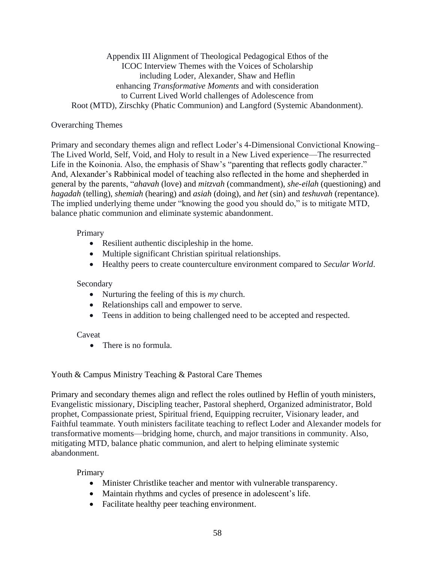Appendix III Alignment of Theological Pedagogical Ethos of the ICOC Interview Themes with the Voices of Scholarship including Loder, Alexander, Shaw and Heflin enhancing *Transformative Moments* and with consideration to Current Lived World challenges of Adolescence from Root (MTD), Zirschky (Phatic Communion) and Langford (Systemic Abandonment).

# Overarching Themes

Primary and secondary themes align and reflect Loder's 4-Dimensional Convictional Knowing– The Lived World, Self, Void, and Holy to result in a New Lived experience—The resurrected Life in the Koinonia. Also, the emphasis of Shaw's "parenting that reflects godly character." And, Alexander's Rabbinical model of teaching also reflected in the home and shepherded in general by the parents, "*ahavah* (love) and *mitzvah* (commandment), *she-eilah* (questioning) and *hagadah* (telling), *shemiah* (hearing) and *asiah* (doing), and *het* (sin) and *teshuvah* (repentance). The implied underlying theme under "knowing the good you should do," is to mitigate MTD, balance phatic communion and eliminate systemic abandonment.

### Primary

- Resilient authentic discipleship in the home.
- Multiple significant Christian spiritual relationships.
- Healthy peers to create counterculture environment compared to *Secular World*.

# **Secondary**

- Nurturing the feeling of this is *my* church.
- Relationships call and empower to serve.
- Teens in addition to being challenged need to be accepted and respected.

# Caveat

• There is no formula.

# Youth & Campus Ministry Teaching & Pastoral Care Themes

Primary and secondary themes align and reflect the roles outlined by Heflin of youth ministers, Evangelistic missionary, Discipling teacher, Pastoral shepherd, Organized administrator, Bold prophet, Compassionate priest, Spiritual friend, Equipping recruiter, Visionary leader, and Faithful teammate. Youth ministers facilitate teaching to reflect Loder and Alexander models for transformative moments—bridging home, church, and major transitions in community. Also, mitigating MTD, balance phatic communion, and alert to helping eliminate systemic abandonment.

# Primary

- Minister Christlike teacher and mentor with vulnerable transparency.
- Maintain rhythms and cycles of presence in adolescent's life.
- Facilitate healthy peer teaching environment.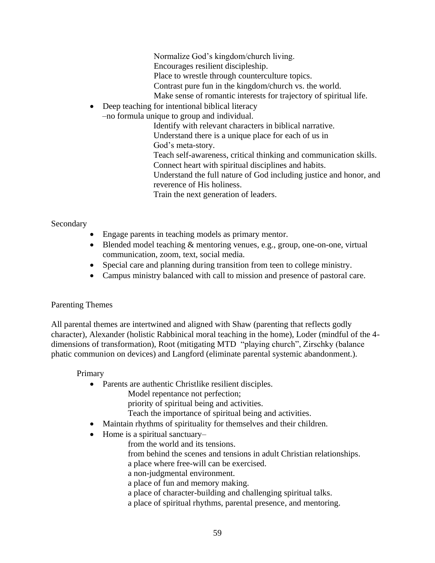Normalize God's kingdom/church living.

Encourages resilient discipleship.

Place to wrestle through counterculture topics.

Contrast pure fun in the kingdom/church vs. the world.

Make sense of romantic interests for trajectory of spiritual life.

• Deep teaching for intentional biblical literacy

–no formula unique to group and individual.

Identify with relevant characters in biblical narrative.

Understand there is a unique place for each of us in

God's meta-story.

Teach self-awareness, critical thinking and communication skills.

Connect heart with spiritual disciplines and habits.

Understand the full nature of God including justice and honor, and reverence of His holiness.

Train the next generation of leaders.

# Secondary

- Engage parents in teaching models as primary mentor.
- Blended model teaching & mentoring venues, e.g., group, one-on-one, virtual communication, zoom, text, social media.
- Special care and planning during transition from teen to college ministry.
- Campus ministry balanced with call to mission and presence of pastoral care.

# Parenting Themes

All parental themes are intertwined and aligned with Shaw (parenting that reflects godly character), Alexander (holistic Rabbinical moral teaching in the home), Loder (mindful of the 4 dimensions of transformation), Root (mitigating MTD "playing church", Zirschky (balance phatic communion on devices) and Langford (eliminate parental systemic abandonment.).

# Primary

• Parents are authentic Christlike resilient disciples.

Model repentance not perfection;

priority of spiritual being and activities.

- Teach the importance of spiritual being and activities.
- Maintain rhythms of spirituality for themselves and their children.
- Home is a spiritual sanctuary
	- from the world and its tensions.

from behind the scenes and tensions in adult Christian relationships.

a place where free-will can be exercised.

- a non-judgmental environment.
- a place of fun and memory making.
- a place of character-building and challenging spiritual talks.
- a place of spiritual rhythms, parental presence, and mentoring.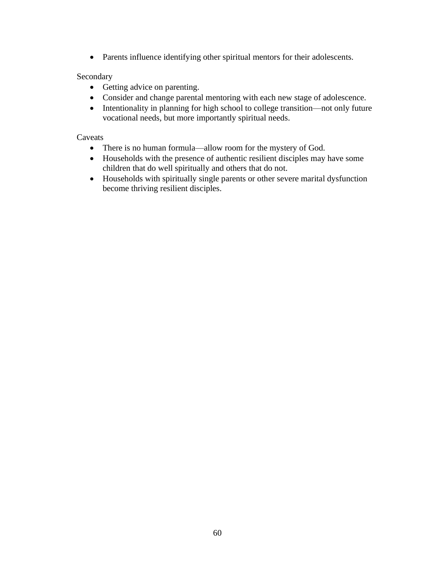• Parents influence identifying other spiritual mentors for their adolescents.

## Secondary

- Getting advice on parenting.
- Consider and change parental mentoring with each new stage of adolescence.
- Intentionality in planning for high school to college transition—not only future vocational needs, but more importantly spiritual needs.

### Caveats

- There is no human formula—allow room for the mystery of God.
- Households with the presence of authentic resilient disciples may have some children that do well spiritually and others that do not.
- Households with spiritually single parents or other severe marital dysfunction become thriving resilient disciples.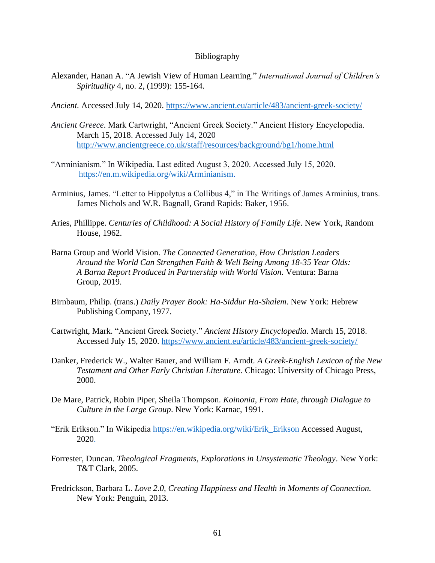#### Bibliography

Alexander, Hanan A. "A Jewish View of Human Learning." *International Journal of Children's Spirituality* 4, no. 2, (1999): 155-164.

*Ancient.* Accessed July 14, 2020. <https://www.ancient.eu/article/483/ancient-greek-society/>

- *Ancient Greece*. Mark Cartwright, "Ancient Greek Society." Ancient History Encyclopedia. March 15, 2018. Accessed July 14, 2020 <http://www.ancientgreece.co.uk/staff/resources/background/bg1/home.html>
- "Arminianism." In Wikipedia. Last edited August 3, 2020. Accessed July 15, 2020. [https://en.m.wikipedia.org/wiki/Arminianism.](/Users/rr101209/Documents/%20https:/en.m.wikipedia.org/wiki/Arminianism)
- Arminius, James. "Letter to Hippolytus a Collibus 4," in The Writings of James Arminius, trans. James Nichols and W.R. Bagnall, Grand Rapids: Baker, 1956.
- Aries, Phillippe. *Centuries of Childhood: A Social History of Family Life*. New York, Random House, 1962.
- Barna Group and World Vision. *The Connected Generation, How Christian Leaders Around the World Can Strengthen Faith & Well Being Among 18-35 Year Olds: A Barna Report Produced in Partnership with World Vision.* Ventura: Barna Group, 2019.
- Birnbaum, Philip. (trans.) *Daily Prayer Book: Ha-Siddur Ha-Shalem*. New York: Hebrew Publishing Company, 1977.
- Cartwright, Mark. "Ancient Greek Society." *Ancient History Encyclopedia*. March 15, 2018. Accessed July 15, 2020.<https://www.ancient.eu/article/483/ancient-greek-society/>
- Danker, Frederick W., Walter Bauer, and William F. Arndt. *A Greek-English Lexicon of the New Testament and Other Early Christian Literature*. Chicago: University of Chicago Press, 2000.
- De Mare, Patrick, Robin Piper, Sheila Thompson. *Koinonia, From Hate, through Dialogue to Culture in the Large Group*. New York: Karnac, 1991.
- "Erik Erikson." In Wikipedia [https://en.wikipedia.org/wiki/Erik\\_Erikson](https://en.wikipedia.org/wiki/Erik_Erikson) Accessed August, 2020.
- Forrester, Duncan. *Theological Fragments, Explorations in Unsystematic Theology*. New York: T&T Clark, 2005.
- Fredrickson, Barbara L. *Love 2.0, Creating Happiness and Health in Moments of Connection.* New York: Penguin, 2013.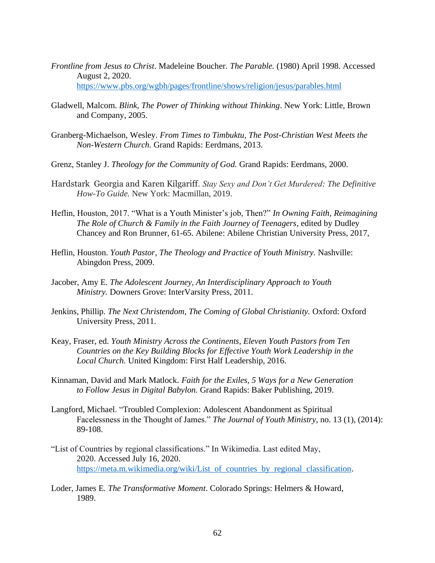- *Frontline from Jesus to Christ*. Madeleine Boucher. *The Parable.* (1980) April 1998. Accessed August 2, 2020. <https://www.pbs.org/wgbh/pages/frontline/shows/religion/jesus/parables.html>
- Gladwell, Malcom. *Blink, The Power of Thinking without Thinking*. New York: Little, Brown and Company, 2005.
- Granberg-Michaelson, Wesley. *From Times to Timbuktu, The Post-Christian West Meets the Non-Western Church.* Grand Rapids: Eerdmans, 2013.
- Grenz, Stanley J. *Theology for the Community of God.* Grand Rapids: Eerdmans, 2000.
- Hardstark Georgia and Karen Kilgariff. *Stay Sexy and Don't Get Murdered: The Definitive How-To Guide.* New York: Macmillan, 2019.
- Heflin, Houston, 2017. "What is a Youth Minister's job, Then?" *In Owning Faith, Reimagining The Role of Church & Family in the Faith Journey of Teenagers*, edited by Dudley Chancey and Ron Brunner, 61-65. Abilene: Abilene Christian University Press, 2017,
- Heflin, Houston. *Youth Pastor, The Theology and Practice of Youth Ministry.* Nashville: Abingdon Press, 2009.
- Jacober, Amy E. *The Adolescent Journey, An Interdisciplinary Approach to Youth Ministry.* Downers Grove: InterVarsity Press, 2011.
- Jenkins, Phillip. *The Next Christendom, The Coming of Global Christianity.* Oxford: Oxford University Press, 2011.
- Keay, Fraser, ed. *Youth Ministry Across the Continents, Eleven Youth Pastors from Ten Countries on the Key Building Blocks for Effective Youth Work Leadership in the Local Church.* United Kingdom: First Half Leadership, 2016.
- Kinnaman, David and Mark Matlock. *Faith for the Exiles, 5 Ways for a New Generation to Follow Jesus in Digital Babylon.* Grand Rapids: Baker Publishing, 2019.
- Langford, Michael. "Troubled Complexion: Adolescent Abandonment as Spiritual Facelessness in the Thought of James." *The Journal of Youth Ministry,* no. 13 (1), (2014): 89-108.
- "List of Countries by regional classifications." In Wikimedia. Last edited May, 2020. Accessed July 16, 2020. [https://meta.m.wikimedia.org/wiki/List\\_of\\_countries\\_by\\_regional\\_classification.](https://meta.m.wikimedia.org/wiki/List_of_countries_by_regional_classification)
- Loder, James E. *The Transformative Moment*. Colorado Springs: Helmers & Howard, 1989.